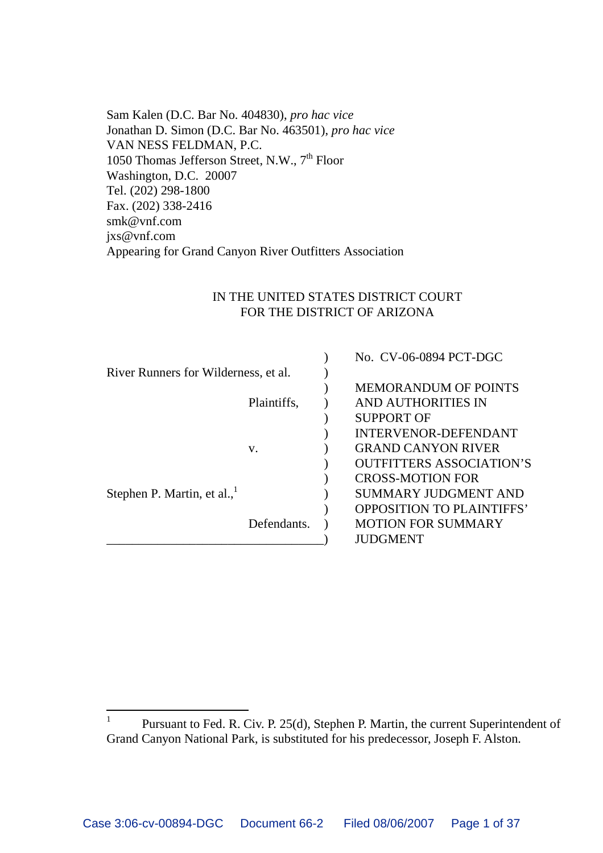Sam Kalen (D.C. Bar No. 404830), *pro hac vice* Jonathan D. Simon (D.C. Bar No. 463501), *pro hac vice* VAN NESS FELDMAN, P.C. 1050 Thomas Jefferson Street, N.W., 7<sup>th</sup> Floor Washington, D.C. 20007 Tel. (202) 298-1800 Fax. (202) 338-2416 smk@vnf.com jxs@vnf.com Appearing for Grand Canyon River Outfitters Association

#### IN THE UNITED STATES DISTRICT COURT FOR THE DISTRICT OF ARIZONA

|                                      |             | No. CV-06-0894 PCT-DGC           |
|--------------------------------------|-------------|----------------------------------|
| River Runners for Wilderness, et al. |             |                                  |
|                                      |             | <b>MEMORANDUM OF POINTS</b>      |
|                                      | Plaintiffs. | AND AUTHORITIES IN               |
|                                      |             | <b>SUPPORT OF</b>                |
|                                      |             | <b>INTERVENOR-DEFENDANT</b>      |
|                                      | V.          | <b>GRAND CANYON RIVER</b>        |
|                                      |             | <b>OUTFITTERS ASSOCIATION'S</b>  |
|                                      |             | <b>CROSS-MOTION FOR</b>          |
| Stephen P. Martin, et al.,           |             | <b>SUMMARY JUDGMENT AND</b>      |
|                                      |             | <b>OPPOSITION TO PLAINTIFFS'</b> |
|                                      | Defendants. | <b>MOTION FOR SUMMARY</b>        |
|                                      |             | <b>JUDGMENT</b>                  |

<sup>&</sup>lt;sup>1</sup> Pursuant to Fed. R. Civ. P. 25(d), Stephen P. Martin, the current Superintendent of Grand Canyon National Park, is substituted for his predecessor, Joseph F. Alston.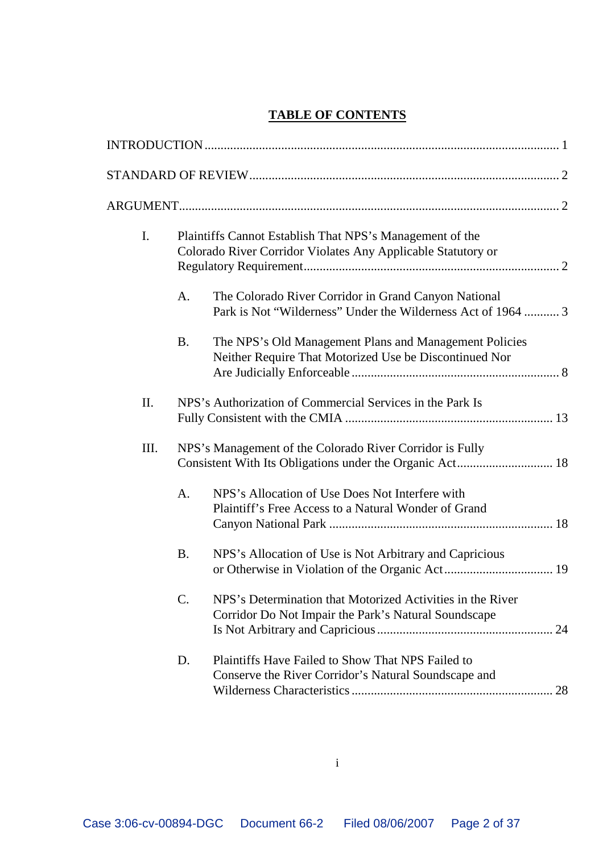## **TABLE OF CONTENTS**

| I.   |           | Plaintiffs Cannot Establish That NPS's Management of the<br>Colorado River Corridor Violates Any Applicable Statutory or |  |
|------|-----------|--------------------------------------------------------------------------------------------------------------------------|--|
|      | A.        | The Colorado River Corridor in Grand Canyon National<br>Park is Not "Wilderness" Under the Wilderness Act of 1964  3     |  |
|      | <b>B.</b> | The NPS's Old Management Plans and Management Policies<br>Neither Require That Motorized Use be Discontinued Nor         |  |
| Π.   |           | NPS's Authorization of Commercial Services in the Park Is                                                                |  |
| III. |           | NPS's Management of the Colorado River Corridor is Fully<br>Consistent With Its Obligations under the Organic Act 18     |  |
|      | A.        | NPS's Allocation of Use Does Not Interfere with<br>Plaintiff's Free Access to a Natural Wonder of Grand                  |  |
|      | <b>B.</b> | NPS's Allocation of Use is Not Arbitrary and Capricious                                                                  |  |
|      | C.        | NPS's Determination that Motorized Activities in the River<br>Corridor Do Not Impair the Park's Natural Soundscape       |  |
|      | D.        | Plaintiffs Have Failed to Show That NPS Failed to<br>Conserve the River Corridor's Natural Soundscape and                |  |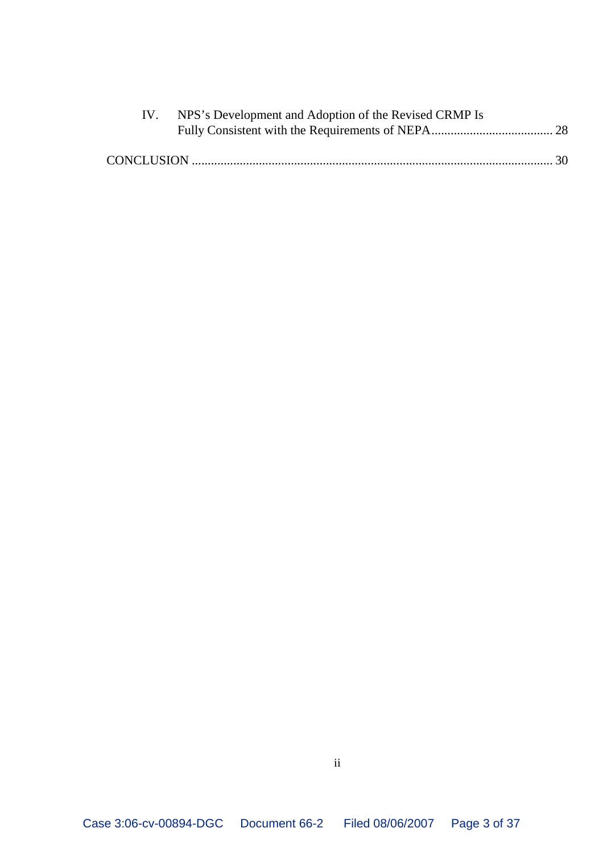| IV. NPS's Development and Adoption of the Revised CRMP Is |  |
|-----------------------------------------------------------|--|
|                                                           |  |
|                                                           |  |
|                                                           |  |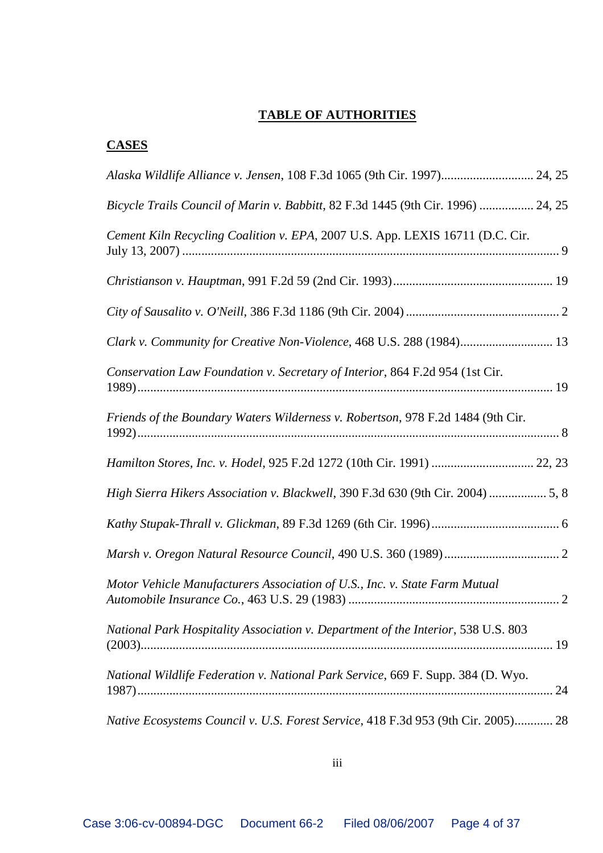### **TABLE OF AUTHORITIES**

## **CASES**

| Alaska Wildlife Alliance v. Jensen, 108 F.3d 1065 (9th Cir. 1997) 24, 25          |
|-----------------------------------------------------------------------------------|
| Bicycle Trails Council of Marin v. Babbitt, 82 F.3d 1445 (9th Cir. 1996)  24, 25  |
| Cement Kiln Recycling Coalition v. EPA, 2007 U.S. App. LEXIS 16711 (D.C. Cir.     |
|                                                                                   |
|                                                                                   |
| Clark v. Community for Creative Non-Violence, 468 U.S. 288 (1984) 13              |
| Conservation Law Foundation v. Secretary of Interior, 864 F.2d 954 (1st Cir.      |
| Friends of the Boundary Waters Wilderness v. Robertson, 978 F.2d 1484 (9th Cir.   |
|                                                                                   |
| High Sierra Hikers Association v. Blackwell, 390 F.3d 630 (9th Cir. 2004)  5, 8   |
|                                                                                   |
|                                                                                   |
| Motor Vehicle Manufacturers Association of U.S., Inc. v. State Farm Mutual        |
| National Park Hospitality Association v. Department of the Interior, 538 U.S. 803 |
| National Wildlife Federation v. National Park Service, 669 F. Supp. 384 (D. Wyo.  |
| Native Ecosystems Council v. U.S. Forest Service, 418 F.3d 953 (9th Cir. 2005) 28 |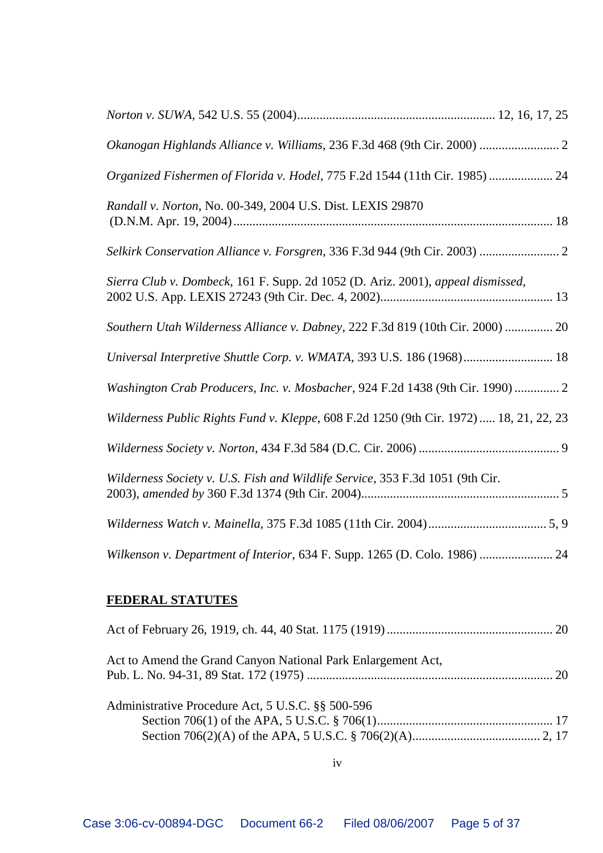| Okanogan Highlands Alliance v. Williams, 236 F.3d 468 (9th Cir. 2000)  2               |
|----------------------------------------------------------------------------------------|
| Organized Fishermen of Florida v. Hodel, 775 F.2d 1544 (11th Cir. 1985)  24            |
| Randall v. Norton, No. 00-349, 2004 U.S. Dist. LEXIS 29870                             |
| Selkirk Conservation Alliance v. Forsgren, 336 F.3d 944 (9th Cir. 2003)  2             |
| Sierra Club v. Dombeck, 161 F. Supp. 2d 1052 (D. Ariz. 2001), appeal dismissed,        |
| Southern Utah Wilderness Alliance v. Dabney, 222 F.3d 819 (10th Cir. 2000)  20         |
| Universal Interpretive Shuttle Corp. v. WMATA, 393 U.S. 186 (1968) 18                  |
| Washington Crab Producers, Inc. v. Mosbacher, 924 F.2d 1438 (9th Cir. 1990)  2         |
| Wilderness Public Rights Fund v. Kleppe, 608 F.2d 1250 (9th Cir. 1972)  18, 21, 22, 23 |
|                                                                                        |
| Wilderness Society v. U.S. Fish and Wildlife Service, 353 F.3d 1051 (9th Cir.          |
|                                                                                        |
| Wilkenson v. Department of Interior, 634 F. Supp. 1265 (D. Colo. 1986)  24             |

# **FEDERAL STATUTES**

| Act to Amend the Grand Canyon National Park Enlargement Act, |  |
|--------------------------------------------------------------|--|
| Administrative Procedure Act, 5 U.S.C. §§ 500-596            |  |

iv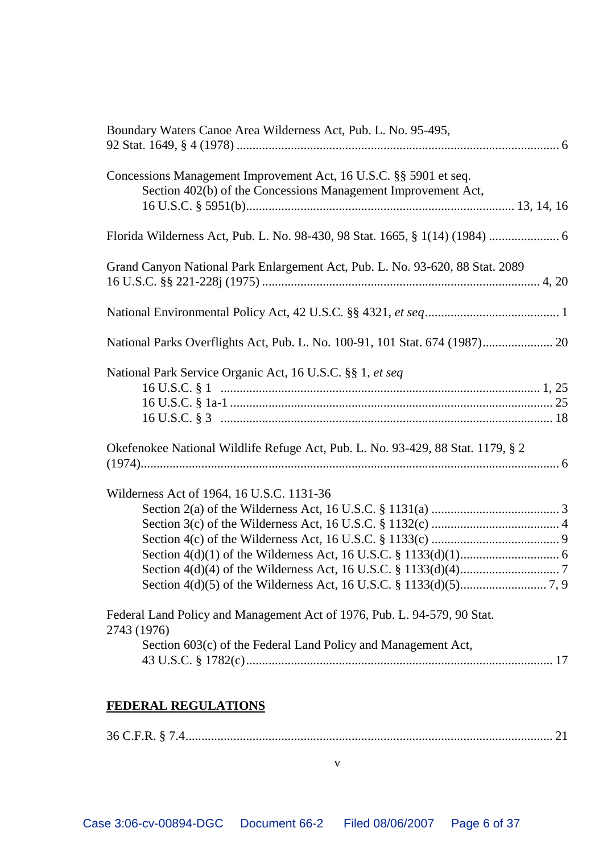| Boundary Waters Canoe Area Wilderness Act, Pub. L. No. 95-495,                                                                                           |
|----------------------------------------------------------------------------------------------------------------------------------------------------------|
| Concessions Management Improvement Act, 16 U.S.C. §§ 5901 et seq.<br>Section 402(b) of the Concessions Management Improvement Act,                       |
|                                                                                                                                                          |
| Grand Canyon National Park Enlargement Act, Pub. L. No. 93-620, 88 Stat. 2089                                                                            |
|                                                                                                                                                          |
| National Parks Overflights Act, Pub. L. No. 100-91, 101 Stat. 674 (1987) 20                                                                              |
| National Park Service Organic Act, 16 U.S.C. §§ 1, et seq                                                                                                |
| Okefenokee National Wildlife Refuge Act, Pub. L. No. 93-429, 88 Stat. 1179, § 2                                                                          |
| Wilderness Act of 1964, 16 U.S.C. 1131-36                                                                                                                |
| Federal Land Policy and Management Act of 1976, Pub. L. 94-579, 90 Stat.<br>2743 (1976)<br>Section 603(c) of the Federal Land Policy and Management Act, |

## **FEDERAL REGULATIONS**

36 C.F.R. § 7.4................................................................................................................... 21

v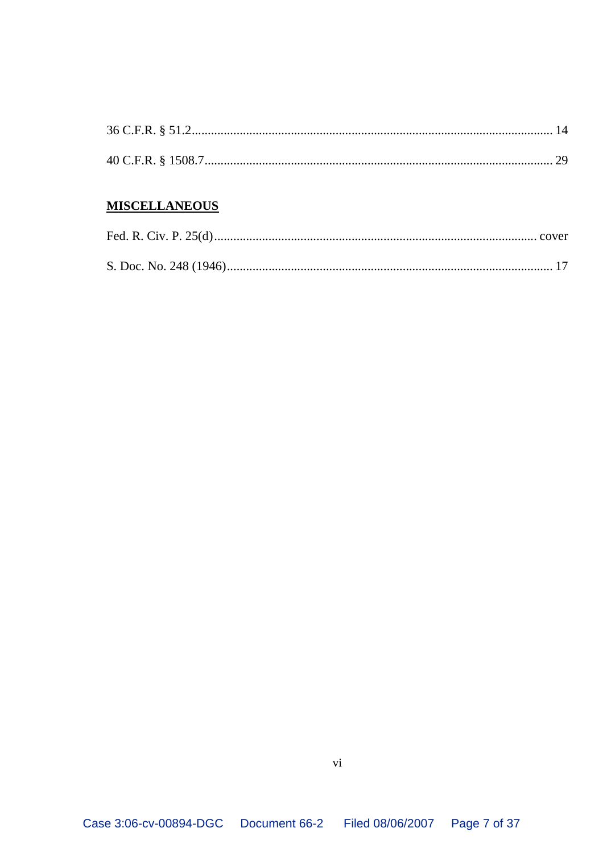### **MISCELLANEOUS**

vi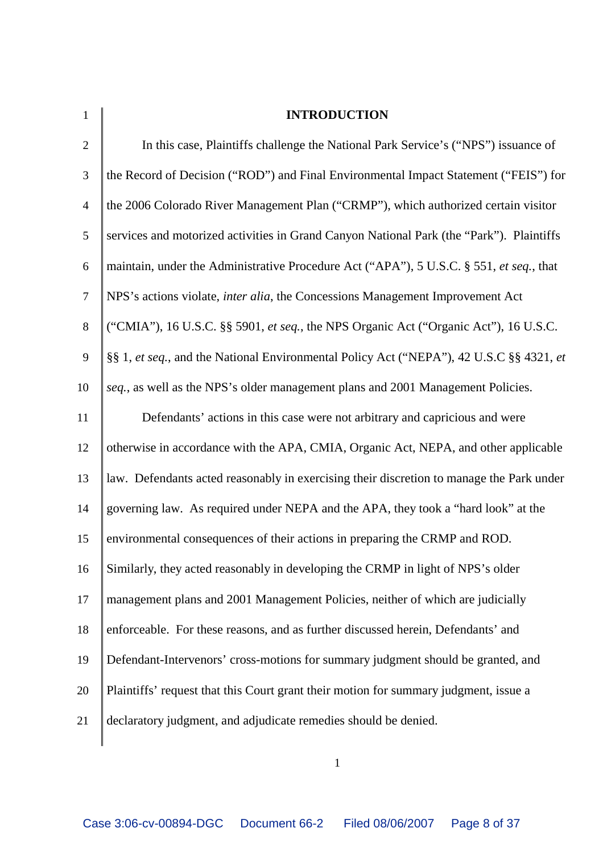| $\mathbf{1}$   | <b>INTRODUCTION</b>                                                                      |
|----------------|------------------------------------------------------------------------------------------|
| $\overline{2}$ | In this case, Plaintiffs challenge the National Park Service's ("NPS") issuance of       |
| 3              | the Record of Decision ("ROD") and Final Environmental Impact Statement ("FEIS") for     |
| $\overline{4}$ | the 2006 Colorado River Management Plan ("CRMP"), which authorized certain visitor       |
| 5              | services and motorized activities in Grand Canyon National Park (the "Park"). Plaintiffs |
| 6              | maintain, under the Administrative Procedure Act ("APA"), 5 U.S.C. § 551, et seq., that  |
| $\overline{7}$ | NPS's actions violate, inter alia, the Concessions Management Improvement Act            |
| 8              | ("CMIA"), 16 U.S.C. §§ 5901, et seq., the NPS Organic Act ("Organic Act"), 16 U.S.C.     |
| 9              | §§ 1, et seq., and the National Environmental Policy Act ("NEPA"), 42 U.S.C §§ 4321, et  |
| 10             | seq., as well as the NPS's older management plans and 2001 Management Policies.          |
| 11             | Defendants' actions in this case were not arbitrary and capricious and were              |
| 12             | otherwise in accordance with the APA, CMIA, Organic Act, NEPA, and other applicable      |
| 13             | law. Defendants acted reasonably in exercising their discretion to manage the Park under |
| 14             | governing law. As required under NEPA and the APA, they took a "hard look" at the        |
| 15             | environmental consequences of their actions in preparing the CRMP and ROD.               |
| 16             | Similarly, they acted reasonably in developing the CRMP in light of NPS's older          |
| 17             | management plans and 2001 Management Policies, neither of which are judicially           |
| 18             | enforceable. For these reasons, and as further discussed herein, Defendants' and         |
| 19             | Defendant-Intervenors' cross-motions for summary judgment should be granted, and         |
| 20             | Plaintiffs' request that this Court grant their motion for summary judgment, issue a     |
| 21             | declaratory judgment, and adjudicate remedies should be denied.                          |
|                |                                                                                          |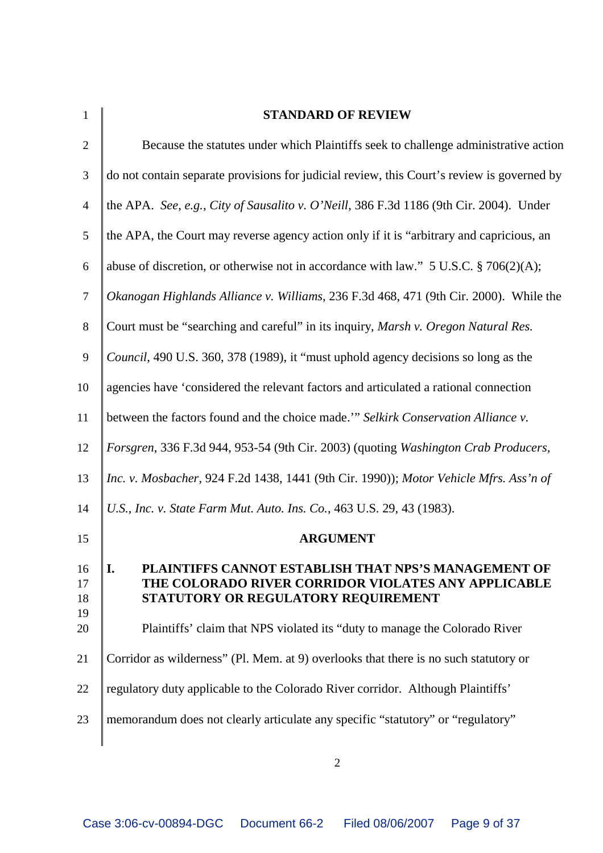| $\mathbf{1}$               | <b>STANDARD OF REVIEW</b>                                                                                                                                                                                                               |
|----------------------------|-----------------------------------------------------------------------------------------------------------------------------------------------------------------------------------------------------------------------------------------|
| $\overline{2}$             | Because the statutes under which Plaintiffs seek to challenge administrative action                                                                                                                                                     |
| 3                          | do not contain separate provisions for judicial review, this Court's review is governed by                                                                                                                                              |
| $\overline{4}$             | the APA. See, e.g., City of Sausalito v. O'Neill, 386 F.3d 1186 (9th Cir. 2004). Under                                                                                                                                                  |
| 5                          | the APA, the Court may reverse agency action only if it is "arbitrary and capricious, an                                                                                                                                                |
| 6                          | abuse of discretion, or otherwise not in accordance with law." $5$ U.S.C. $\S$ 706(2)(A);                                                                                                                                               |
| $\overline{7}$             | Okanogan Highlands Alliance v. Williams, 236 F.3d 468, 471 (9th Cir. 2000). While the                                                                                                                                                   |
| 8                          | Court must be "searching and careful" in its inquiry, Marsh v. Oregon Natural Res.                                                                                                                                                      |
| 9                          | Council, 490 U.S. 360, 378 (1989), it "must uphold agency decisions so long as the                                                                                                                                                      |
| 10                         | agencies have 'considered the relevant factors and articulated a rational connection                                                                                                                                                    |
| 11                         | between the factors found and the choice made." Selkirk Conservation Alliance v.                                                                                                                                                        |
| 12                         | Forsgren, 336 F.3d 944, 953-54 (9th Cir. 2003) (quoting Washington Crab Producers,                                                                                                                                                      |
| 13                         | Inc. v. Mosbacher, 924 F.2d 1438, 1441 (9th Cir. 1990)); Motor Vehicle Mfrs. Ass'n of                                                                                                                                                   |
| 14                         | U.S., Inc. v. State Farm Mut. Auto. Ins. Co., 463 U.S. 29, 43 (1983).                                                                                                                                                                   |
| 15                         | <b>ARGUMENT</b>                                                                                                                                                                                                                         |
| 16<br>17<br>18<br>19<br>20 | PLAINTIFFS CANNOT ESTABLISH THAT NPS'S MANAGEMENT OF<br>I.<br>THE COLORADO RIVER CORRIDOR VIOLATES ANY APPLICABLE<br>STATUTORY OR REGULATORY REQUIREMENT<br>Plaintiffs' claim that NPS violated its "duty to manage the Colorado River" |
| 21                         | Corridor as wilderness" (Pl. Mem. at 9) overlooks that there is no such statutory or                                                                                                                                                    |
| 22                         | regulatory duty applicable to the Colorado River corridor. Although Plaintiffs'                                                                                                                                                         |
| 23                         | memorandum does not clearly articulate any specific "statutory" or "regulatory"                                                                                                                                                         |
|                            |                                                                                                                                                                                                                                         |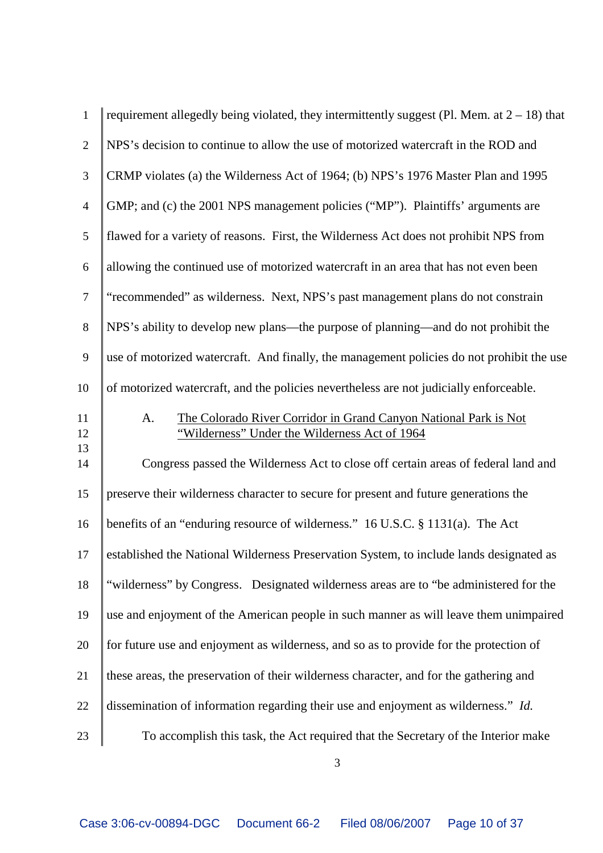| $\mathbf{1}$   | requirement allegedly being violated, they intermittently suggest (Pl. Mem. at $2 - 18$ ) that                          |
|----------------|-------------------------------------------------------------------------------------------------------------------------|
| $\overline{2}$ | NPS's decision to continue to allow the use of motorized watercraft in the ROD and                                      |
| 3              | CRMP violates (a) the Wilderness Act of 1964; (b) NPS's 1976 Master Plan and 1995                                       |
| $\overline{4}$ | GMP; and (c) the 2001 NPS management policies ("MP"). Plaintiffs' arguments are                                         |
| 5              | flawed for a variety of reasons. First, the Wilderness Act does not prohibit NPS from                                   |
| 6              | allowing the continued use of motorized watercraft in an area that has not even been                                    |
| $\overline{7}$ | "recommended" as wilderness. Next, NPS's past management plans do not constrain                                         |
| 8              | NPS's ability to develop new plans—the purpose of planning—and do not prohibit the                                      |
| 9              | use of motorized watercraft. And finally, the management policies do not prohibit the use                               |
| 10             | of motorized watercraft, and the policies nevertheless are not judicially enforceable.                                  |
| 11<br>12       | The Colorado River Corridor in Grand Canyon National Park is Not<br>A.<br>"Wilderness" Under the Wilderness Act of 1964 |
| 13<br>14       | Congress passed the Wilderness Act to close off certain areas of federal land and                                       |
| 15             | preserve their wilderness character to secure for present and future generations the                                    |
| 16             | benefits of an "enduring resource of wilderness." 16 U.S.C. § 1131(a). The Act                                          |
| 17             | established the National Wilderness Preservation System, to include lands designated as                                 |
| 18             | "wilderness" by Congress. Designated wilderness areas are to "be administered for the                                   |
| 19             | use and enjoyment of the American people in such manner as will leave them unimpaired                                   |
| 20             | for future use and enjoyment as wilderness, and so as to provide for the protection of                                  |
| 21             | these areas, the preservation of their wilderness character, and for the gathering and                                  |
| 22             | dissemination of information regarding their use and enjoyment as wilderness." Id.                                      |
| 23             | To accomplish this task, the Act required that the Secretary of the Interior make                                       |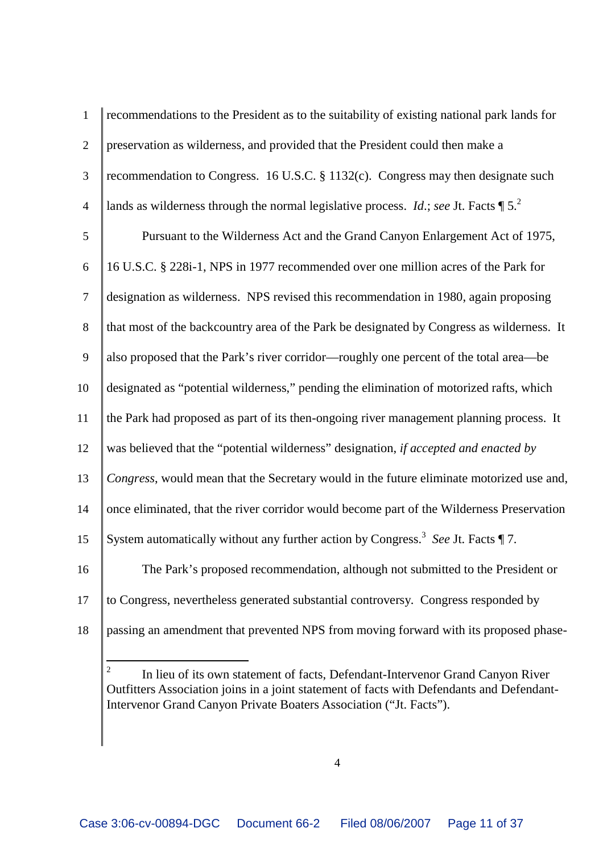| 1              | recommendations to the President as to the suitability of existing national park lands for                 |
|----------------|------------------------------------------------------------------------------------------------------------|
| $\overline{2}$ | preservation as wilderness, and provided that the President could then make a                              |
| 3              | recommendation to Congress. 16 U.S.C. § 1132(c). Congress may then designate such                          |
| $\overline{4}$ | lands as wilderness through the normal legislative process. <i>Id.</i> ; see Jt. Facts $\P 5$ <sup>2</sup> |
| 5              | Pursuant to the Wilderness Act and the Grand Canyon Enlargement Act of 1975,                               |
| 6              | 16 U.S.C. § 228i-1, NPS in 1977 recommended over one million acres of the Park for                         |
| $\overline{7}$ | designation as wilderness. NPS revised this recommendation in 1980, again proposing                        |
| 8              | that most of the backcountry area of the Park be designated by Congress as wilderness. It                  |
| 9              | also proposed that the Park's river corridor—roughly one percent of the total area—be                      |
| 10             | designated as "potential wilderness," pending the elimination of motorized rafts, which                    |
| 11             | the Park had proposed as part of its then-ongoing river management planning process. It                    |
| 12             | was believed that the "potential wilderness" designation, if accepted and enacted by                       |
| 13             | Congress, would mean that the Secretary would in the future eliminate motorized use and,                   |
| 14             | once eliminated, that the river corridor would become part of the Wilderness Preservation                  |
| 15             | System automatically without any further action by Congress. <sup>3</sup> See Jt. Facts $\P$ 7.            |
| 16             | The Park's proposed recommendation, although not submitted to the President or                             |
| 17             | to Congress, nevertheless generated substantial controversy. Congress responded by                         |
| 18             | passing an amendment that prevented NPS from moving forward with its proposed phase-                       |
|                |                                                                                                            |

<sup>&</sup>lt;sup>2</sup> In lieu of its own statement of facts, Defendant-Intervenor Grand Canyon River Outfitters Association joins in a joint statement of facts with Defendants and Defendant-Intervenor Grand Canyon Private Boaters Association ("Jt. Facts").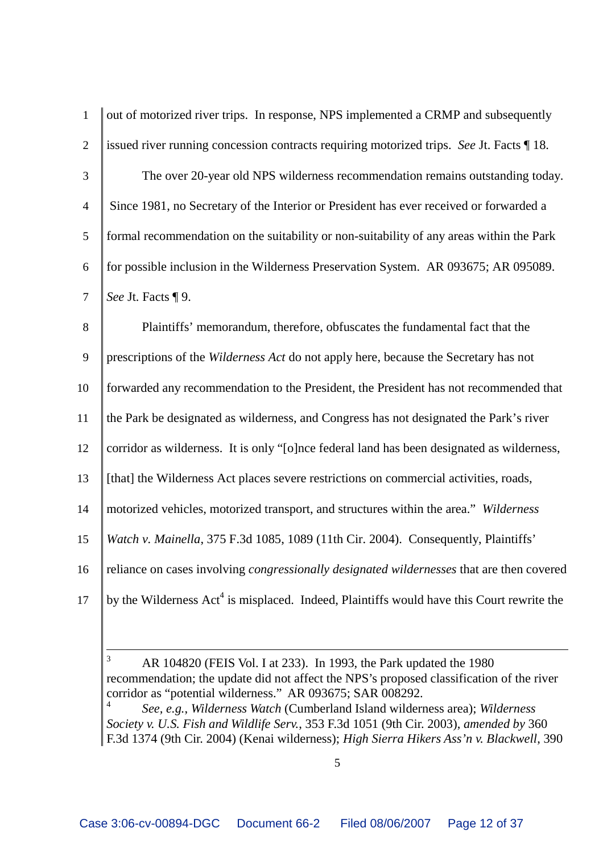| $\mathbf{1}$   | out of motorized river trips. In response, NPS implemented a CRMP and subsequently                    |
|----------------|-------------------------------------------------------------------------------------------------------|
| $\overline{2}$ | issued river running concession contracts requiring motorized trips. See Jt. Facts 18.                |
| $\mathfrak{Z}$ | The over 20-year old NPS wilderness recommendation remains outstanding today.                         |
| $\overline{4}$ | Since 1981, no Secretary of the Interior or President has ever received or forwarded a                |
| 5              | formal recommendation on the suitability or non-suitability of any areas within the Park              |
| 6              | for possible inclusion in the Wilderness Preservation System. AR 093675; AR 095089.                   |
| $\tau$         | See Jt. Facts ¶ 9.                                                                                    |
| 8              | Plaintiffs' memorandum, therefore, obfuscates the fundamental fact that the                           |
| 9              | prescriptions of the Wilderness Act do not apply here, because the Secretary has not                  |
| 10             | forwarded any recommendation to the President, the President has not recommended that                 |
| 11             | the Park be designated as wilderness, and Congress has not designated the Park's river                |
| 12             | corridor as wilderness. It is only "[o]nce federal land has been designated as wilderness,            |
| 13             | [that] the Wilderness Act places severe restrictions on commercial activities, roads,                 |
| 14             | motorized vehicles, motorized transport, and structures within the area." Wilderness                  |
| 15             | Watch v. Mainella, 375 F.3d 1085, 1089 (11th Cir. 2004). Consequently, Plaintiffs'                    |
| 16             | reliance on cases involving <i>congressionally designated wildernesses</i> that are then covered      |
| 17             | by the Wilderness Act <sup>4</sup> is misplaced. Indeed, Plaintiffs would have this Court rewrite the |

 AR 104820 (FEIS Vol. I at 233). In 1993, the Park updated the 1980 recommendation; the update did not affect the NPS's proposed classification of the river corridor as "potential wilderness." AR 093675; SAR 008292. *See, e.g.*, *Wilderness Watch* (Cumberland Island wilderness area); *Wilderness Society v. U.S. Fish and Wildlife Serv.*, 353 F.3d 1051 (9th Cir. 2003), *amended by* 360 F.3d 1374 (9th Cir. 2004) (Kenai wilderness); *High Sierra Hikers Ass'n v. Blackwell*, 390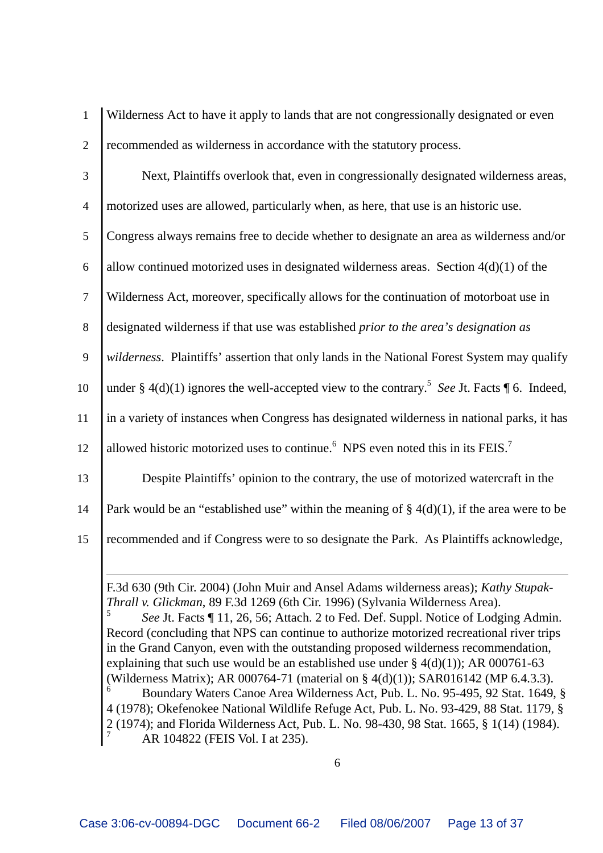1 Wilderness Act to have it apply to lands that are not congressionally designated or even 2 recommended as wilderness in accordance with the statutory process.

- 3 Next, Plaintiffs overlook that, even in congressionally designated wilderness areas, 4 motorized uses are allowed, particularly when, as here, that use is an historic use. 5 Congress always remains free to decide whether to designate an area as wilderness and/or 6 allow continued motorized uses in designated wilderness areas. Section  $4(d)(1)$  of the 7 Wilderness Act, moreover, specifically allows for the continuation of motorboat use in 8 designated wilderness if that use was established *prior to the area's designation as* 9 *wilderness*. Plaintiffs' assertion that only lands in the National Forest System may qualify 10  $\int$  under § 4(d)(1) ignores the well-accepted view to the contrary.<sup>5</sup> See Jt. Facts ¶ 6. Indeed, 11 in a variety of instances when Congress has designated wilderness in national parks, it has 12 | allowed historic motorized uses to continue.<sup>6</sup> NPS even noted this in its FEIS.<sup>7</sup> 13 Despite Plaintiffs' opinion to the contrary, the use of motorized watercraft in the 14 Park would be an "established use" within the meaning of  $\S 4(d)(1)$ , if the area were to be
- 15 recommended and if Congress were to so designate the Park. As Plaintiffs acknowledge,

F.3d 630 (9th Cir. 2004) (John Muir and Ansel Adams wilderness areas); *Kathy Stupak-Thrall v. Glickman*, 89 F.3d 1269 (6th Cir. 1996) (Sylvania Wilderness Area).

<sup>5</sup> *See* Jt. Facts ¶ 11, 26, 56; Attach. 2 to Fed. Def. Suppl. Notice of Lodging Admin. Record (concluding that NPS can continue to authorize motorized recreational river trips in the Grand Canyon, even with the outstanding proposed wilderness recommendation, explaining that such use would be an established use under  $\S$  4(d)(1)); AR 000761-63 (Wilderness Matrix); AR 000764-71 (material on § 4(d)(1)); SAR016142 (MP 6.4.3.3).

 Boundary Waters Canoe Area Wilderness Act, Pub. L. No. 95-495, 92 Stat. 1649, § (1978); Okefenokee National Wildlife Refuge Act, Pub. L. No. 93-429, 88 Stat. 1179, § (1974); and Florida Wilderness Act, Pub. L. No. 98-430, 98 Stat. 1665, § 1(14) (1984). AR 104822 (FEIS Vol. I at 235).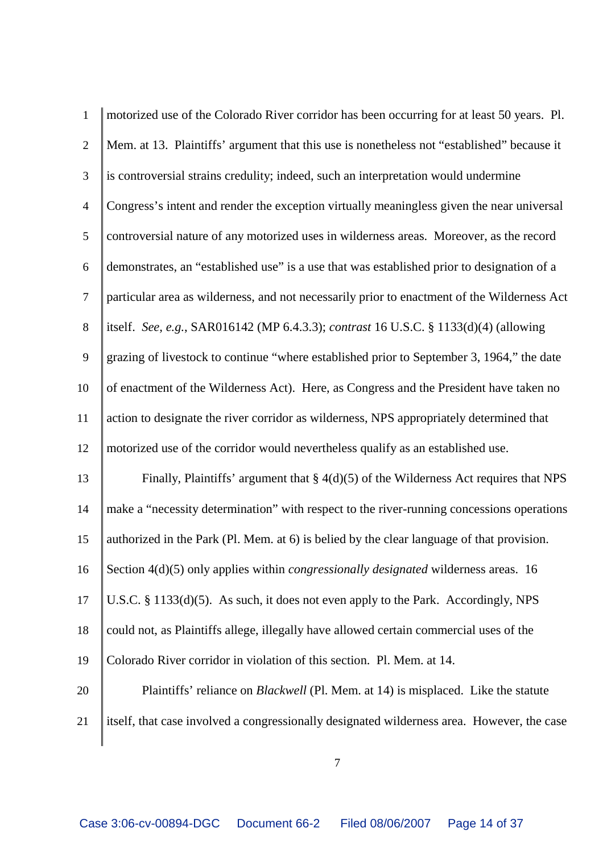| $\mathbf{1}$   | motorized use of the Colorado River corridor has been occurring for at least 50 years. Pl.  |
|----------------|---------------------------------------------------------------------------------------------|
| $\overline{2}$ | Mem. at 13. Plaintiffs' argument that this use is nonetheless not "established" because it  |
| $\mathfrak{Z}$ | is controversial strains credulity; indeed, such an interpretation would undermine          |
| $\overline{4}$ | Congress's intent and render the exception virtually meaningless given the near universal   |
| 5              | controversial nature of any motorized uses in wilderness areas. Moreover, as the record     |
| 6              | demonstrates, an "established use" is a use that was established prior to designation of a  |
| $\overline{7}$ | particular area as wilderness, and not necessarily prior to enactment of the Wilderness Act |
| $8\,$          | itself. See, e.g., SAR016142 (MP 6.4.3.3); contrast 16 U.S.C. § 1133(d)(4) (allowing        |
| 9              | grazing of livestock to continue "where established prior to September 3, 1964," the date   |
| 10             | of enactment of the Wilderness Act). Here, as Congress and the President have taken no      |
| 11             | action to designate the river corridor as wilderness, NPS appropriately determined that     |
| 12             | motorized use of the corridor would nevertheless qualify as an established use.             |
| 13             | Finally, Plaintiffs' argument that $\S 4(d)(5)$ of the Wilderness Act requires that NPS     |
| 14             | make a "necessity determination" with respect to the river-running concessions operations   |
| 15             | authorized in the Park (Pl. Mem. at 6) is belied by the clear language of that provision.   |
| 16             | Section 4(d)(5) only applies within <i>congressionally designated</i> wilderness areas. 16  |
| 17             | U.S.C. § 1133(d)(5). As such, it does not even apply to the Park. Accordingly, NPS          |
| 18             | could not, as Plaintiffs allege, illegally have allowed certain commercial uses of the      |
| 19             | Colorado River corridor in violation of this section. Pl. Mem. at 14.                       |
| 20             | Plaintiffs' reliance on <i>Blackwell</i> (Pl. Mem. at 14) is misplaced. Like the statute    |
| 21             | itself, that case involved a congressionally designated wilderness area. However, the case  |
|                |                                                                                             |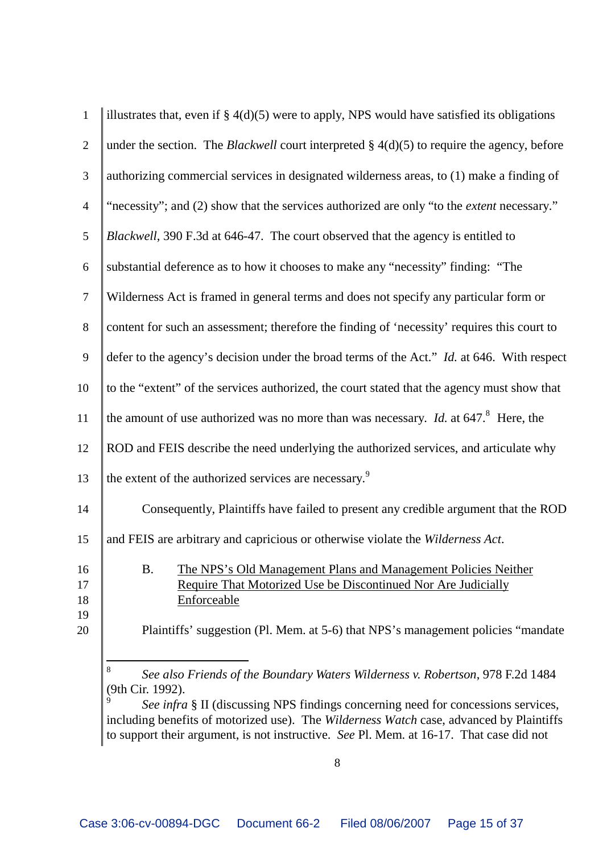| $\mathbf{1}$               | illustrates that, even if $\S 4(d)(5)$ were to apply, NPS would have satisfied its obligations                                                                                                                                                   |
|----------------------------|--------------------------------------------------------------------------------------------------------------------------------------------------------------------------------------------------------------------------------------------------|
| $\overline{2}$             | under the section. The <i>Blackwell</i> court interpreted $\S$ 4(d)(5) to require the agency, before                                                                                                                                             |
| 3                          | authorizing commercial services in designated wilderness areas, to (1) make a finding of                                                                                                                                                         |
| $\overline{4}$             | "necessity"; and (2) show that the services authorized are only "to the <i>extent</i> necessary."                                                                                                                                                |
| 5                          | Blackwell, 390 F.3d at 646-47. The court observed that the agency is entitled to                                                                                                                                                                 |
| 6                          | substantial deference as to how it chooses to make any "necessity" finding: "The                                                                                                                                                                 |
| $\overline{7}$             | Wilderness Act is framed in general terms and does not specify any particular form or                                                                                                                                                            |
| 8                          | content for such an assessment; therefore the finding of 'necessity' requires this court to                                                                                                                                                      |
| 9                          | defer to the agency's decision under the broad terms of the Act." Id. at 646. With respect                                                                                                                                                       |
| 10                         | to the "extent" of the services authorized, the court stated that the agency must show that                                                                                                                                                      |
| 11                         | the amount of use authorized was no more than was necessary. <i>Id.</i> at $647$ . <sup>8</sup> Here, the                                                                                                                                        |
| 12                         | ROD and FEIS describe the need underlying the authorized services, and articulate why                                                                                                                                                            |
| 13                         | the extent of the authorized services are necessary. <sup>9</sup>                                                                                                                                                                                |
| 14                         | Consequently, Plaintiffs have failed to present any credible argument that the ROD                                                                                                                                                               |
| 15                         | and FEIS are arbitrary and capricious or otherwise violate the Wilderness Act.                                                                                                                                                                   |
| 16<br>17<br>18<br>19<br>20 | <b>B.</b><br>The NPS's Old Management Plans and Management Policies Neither<br>Require That Motorized Use be Discontinued Nor Are Judicially<br>Enforceable<br>Plaintiffs' suggestion (Pl. Mem. at 5-6) that NPS's management policies "mandate" |
|                            | 8<br>See also Friends of the Boundary Waters Wilderness v. Robertson, 978 F.2d 1484<br>(9th Cir. 1992).                                                                                                                                          |

 *See infra* § II (discussing NPS findings concerning need for concessions services, including benefits of motorized use). The *Wilderness Watch* case, advanced by Plaintiffs to support their argument, is not instructive. *See* Pl. Mem. at 16-17. That case did not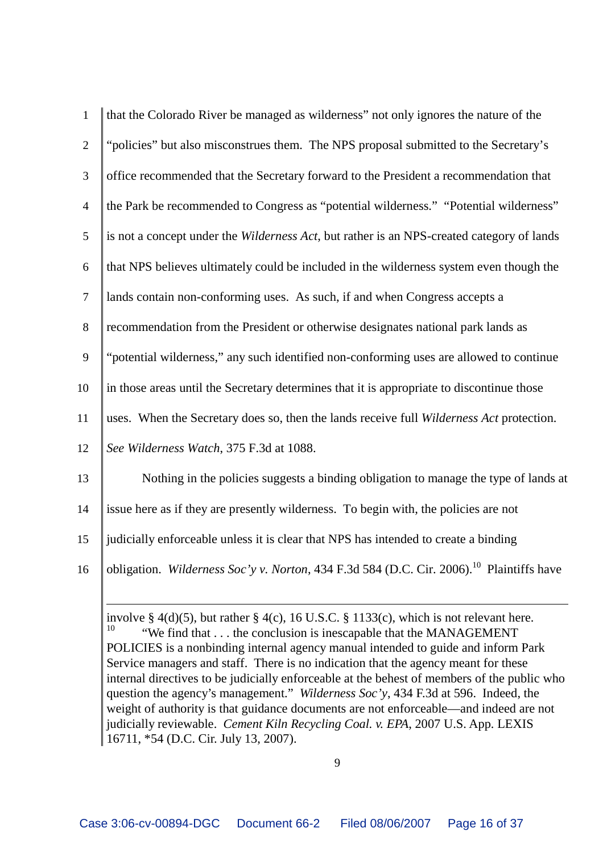| $\mathbf{1}$   | that the Colorado River be managed as wilderness" not only ignores the nature of the                 |
|----------------|------------------------------------------------------------------------------------------------------|
| $\overline{2}$ | "policies" but also misconstrues them. The NPS proposal submitted to the Secretary's                 |
| 3              | office recommended that the Secretary forward to the President a recommendation that                 |
| $\overline{4}$ | the Park be recommended to Congress as "potential wilderness." "Potential wilderness"                |
| 5              | is not a concept under the Wilderness Act, but rather is an NPS-created category of lands            |
| $6\,$          | that NPS believes ultimately could be included in the wilderness system even though the              |
| $\overline{7}$ | lands contain non-conforming uses. As such, if and when Congress accepts a                           |
| 8              | recommendation from the President or otherwise designates national park lands as                     |
| 9              | "potential wilderness," any such identified non-conforming uses are allowed to continue              |
| 10             | in those areas until the Secretary determines that it is appropriate to discontinue those            |
| 11             | uses. When the Secretary does so, then the lands receive full Wilderness Act protection.             |
| 12             | See Wilderness Watch, 375 F.3d at 1088.                                                              |
| 13             | Nothing in the policies suggests a binding obligation to manage the type of lands at                 |
| 14             | issue here as if they are presently wilderness. To begin with, the policies are not                  |
| 15             | judicially enforceable unless it is clear that NPS has intended to create a binding                  |
| 16             | obligation. Wilderness Soc'y v. Norton, 434 F.3d 584 (D.C. Cir. 2006). <sup>10</sup> Plaintiffs have |
|                |                                                                                                      |

involve § 4(d)(5), but rather § 4(c), 16 U.S.C. § 1133(c), which is not relevant here.<br><sup>10</sup> "We find that the conclusion is ineseemble that the MANACEMENT" "We find that . . . the conclusion is inescapable that the MANAGEMENT POLICIES is a nonbinding internal agency manual intended to guide and inform Park Service managers and staff. There is no indication that the agency meant for these internal directives to be judicially enforceable at the behest of members of the public who question the agency's management." *Wilderness Soc'y*, 434 F.3d at 596. Indeed, the weight of authority is that guidance documents are not enforceable—and indeed are not judicially reviewable. *Cement Kiln Recycling Coal. v. EPA*, 2007 U.S. App. LEXIS 16711, \*54 (D.C. Cir. July 13, 2007).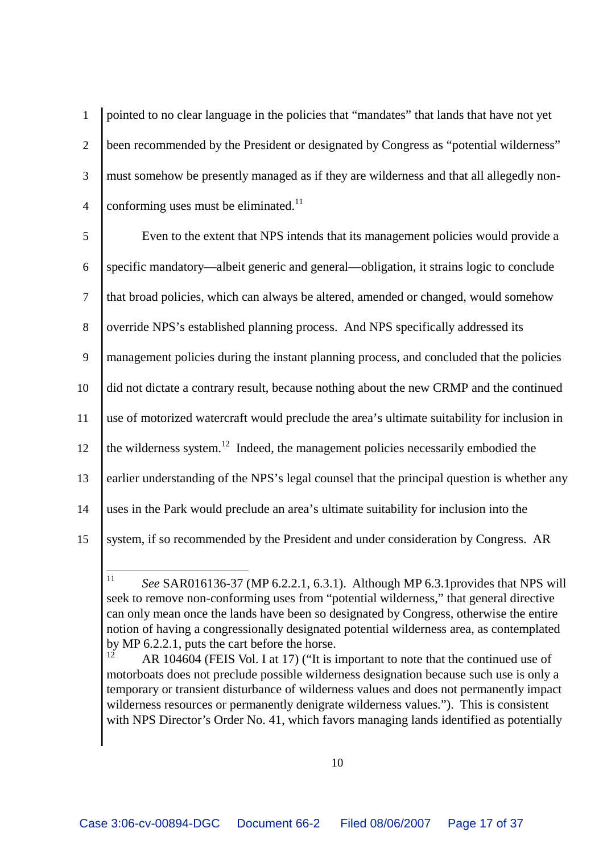1 pointed to no clear language in the policies that "mandates" that lands that have not yet 2 been recommended by the President or designated by Congress as "potential wilderness" 3 must somehow be presently managed as if they are wilderness and that all allegedly non-4 conforming uses must be eliminated.<sup>11</sup>

 Even to the extent that NPS intends that its management policies would provide a specific mandatory—albeit generic and general—obligation, it strains logic to conclude that broad policies, which can always be altered, amended or changed, would somehow 8 override NPS's established planning process. And NPS specifically addressed its management policies during the instant planning process, and concluded that the policies did not dictate a contrary result, because nothing about the new CRMP and the continued use of motorized watercraft would preclude the area's ultimate suitability for inclusion in  $\parallel$  the wilderness system.<sup>12</sup> Indeed, the management policies necessarily embodied the 13 earlier understanding of the NPS's legal counsel that the principal question is whether any uses in the Park would preclude an area's ultimate suitability for inclusion into the system, if so recommended by the President and under consideration by Congress. AR

<sup>11</sup> *See* SAR016136-37 (MP 6.2.2.1, 6.3.1). Although MP 6.3.1provides that NPS will seek to remove non-conforming uses from "potential wilderness," that general directive can only mean once the lands have been so designated by Congress, otherwise the entire notion of having a congressionally designated potential wilderness area, as contemplated by MP 6.2.2.1, puts the cart before the horse.

AR 104604 (FEIS Vol. I at 17) ("It is important to note that the continued use of motorboats does not preclude possible wilderness designation because such use is only a temporary or transient disturbance of wilderness values and does not permanently impact wilderness resources or permanently denigrate wilderness values."). This is consistent with NPS Director's Order No. 41, which favors managing lands identified as potentially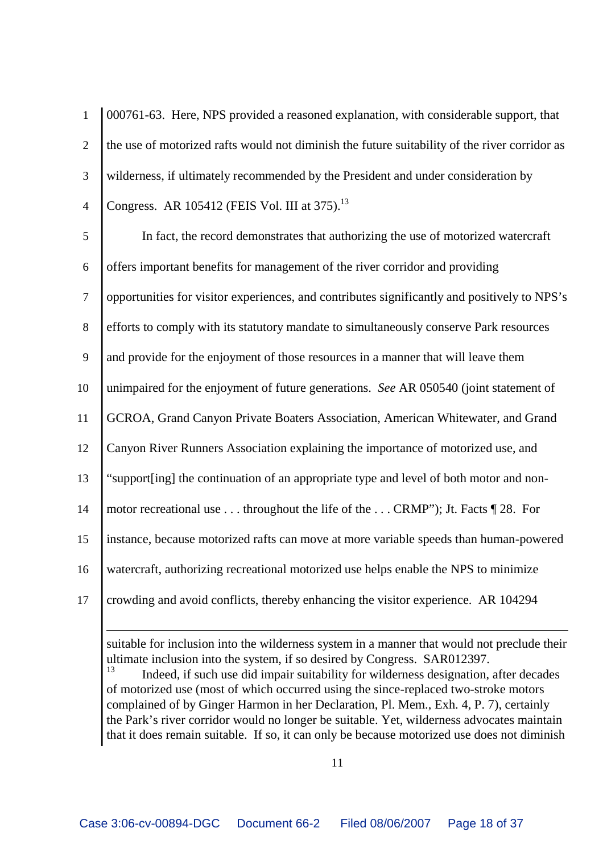1 000761-63. Here, NPS provided a reasoned explanation, with considerable support, that 2 the use of motorized rafts would not diminish the future suitability of the river corridor as 3 wilderness, if ultimately recommended by the President and under consideration by 4 | Congress. AR 105412 (FEIS Vol. III at 375).<sup>13</sup>

 In fact, the record demonstrates that authorizing the use of motorized watercraft offers important benefits for management of the river corridor and providing opportunities for visitor experiences, and contributes significantly and positively to NPS's efforts to comply with its statutory mandate to simultaneously conserve Park resources and provide for the enjoyment of those resources in a manner that will leave them unimpaired for the enjoyment of future generations. *See* AR 050540 (joint statement of GCROA, Grand Canyon Private Boaters Association, American Whitewater, and Grand Canyon River Runners Association explaining the importance of motorized use, and "support[ing] the continuation of an appropriate type and level of both motor and non-14 motor recreational use . . . throughout the life of the . . . CRMP"); Jt. Facts 128. For instance, because motorized rafts can move at more variable speeds than human-powered watercraft, authorizing recreational motorized use helps enable the NPS to minimize crowding and avoid conflicts, thereby enhancing the visitor experience. AR 104294

suitable for inclusion into the wilderness system in a manner that would not preclude their ultimate inclusion into the system, if so desired by Congress. SAR012397.

Indeed, if such use did impair suitability for wilderness designation, after decades of motorized use (most of which occurred using the since-replaced two-stroke motors complained of by Ginger Harmon in her Declaration, Pl. Mem., Exh. 4, P. 7), certainly the Park's river corridor would no longer be suitable. Yet, wilderness advocates maintain that it does remain suitable. If so, it can only be because motorized use does not diminish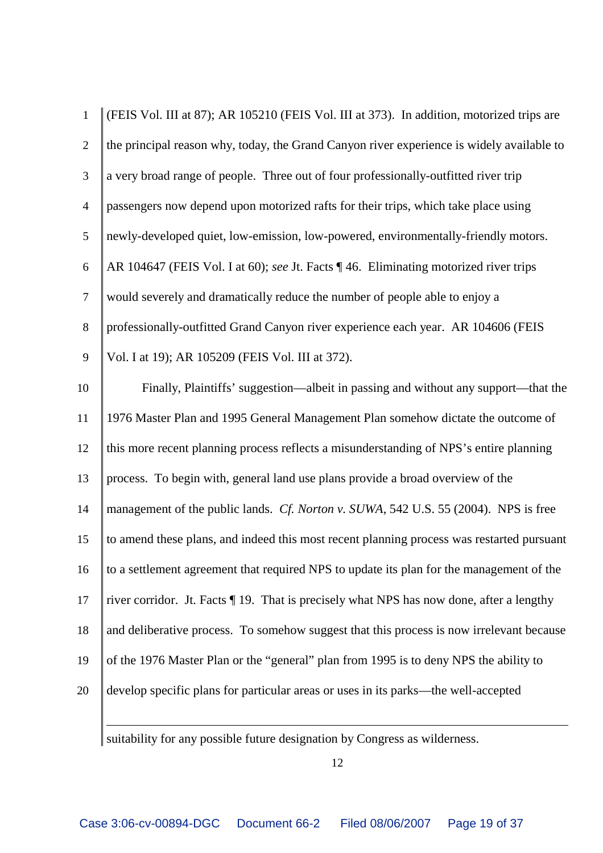| 1              | (FEIS Vol. III at 87); AR 105210 (FEIS Vol. III at 373). In addition, motorized trips are |
|----------------|-------------------------------------------------------------------------------------------|
| $\overline{2}$ | the principal reason why, today, the Grand Canyon river experience is widely available to |
| 3              | a very broad range of people. Three out of four professionally-outfitted river trip       |
| $\overline{4}$ | passengers now depend upon motorized rafts for their trips, which take place using        |
| 5              | newly-developed quiet, low-emission, low-powered, environmentally-friendly motors.        |
| 6              | AR 104647 (FEIS Vol. I at 60); see Jt. Facts ¶ 46. Eliminating motorized river trips      |
| $\overline{7}$ | would severely and dramatically reduce the number of people able to enjoy a               |
| 8              | professionally-outfitted Grand Canyon river experience each year. AR 104606 (FEIS         |
| 9              | Vol. I at 19); AR 105209 (FEIS Vol. III at 372).                                          |
| 10             | Finally, Plaintiffs' suggestion—albeit in passing and without any support—that the        |
| 11             | 1976 Master Plan and 1995 General Management Plan somehow dictate the outcome of          |
| 12             | this more recent planning process reflects a misunderstanding of NPS's entire planning    |
| 13             | process. To begin with, general land use plans provide a broad overview of the            |
| 14             | management of the public lands. Cf. Norton v. SUWA, 542 U.S. 55 (2004). NPS is free       |
| 15             | to amend these plans, and indeed this most recent planning process was restarted pursuant |
| 16             | to a settlement agreement that required NPS to update its plan for the management of the  |
| 17             | river corridor. Jt. Facts ¶ 19. That is precisely what NPS has now done, after a lengthy  |
| 18             | and deliberative process. To somehow suggest that this process is now irrelevant because  |
| 19             | of the 1976 Master Plan or the "general" plan from 1995 is to deny NPS the ability to     |
| 20             | develop specific plans for particular areas or uses in its parks—the well-accepted        |
|                |                                                                                           |

suitability for any possible future designation by Congress as wilderness.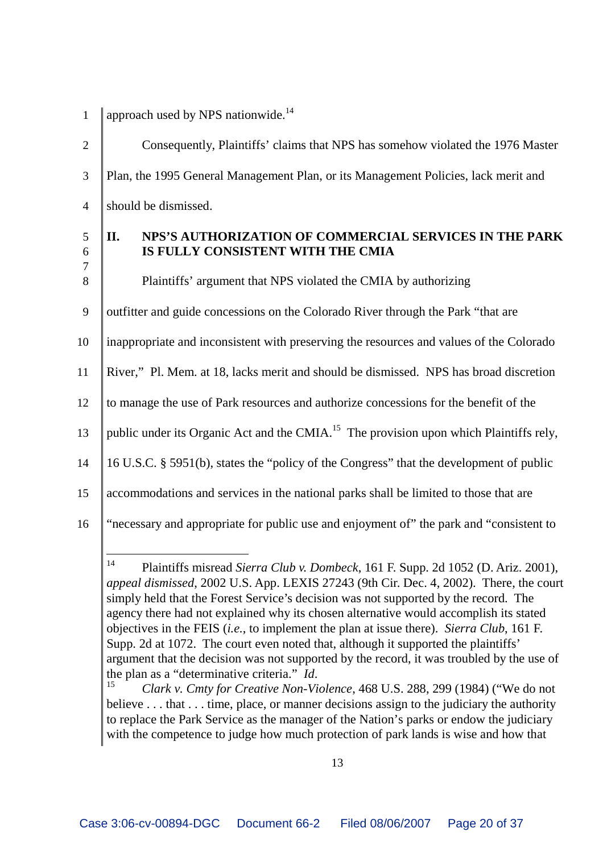1 | approach used by NPS nationwide.<sup>14</sup>

2 Consequently, Plaintiffs' claims that NPS has somehow violated the 1976 Master 3 Plan, the 1995 General Management Plan, or its Management Policies, lack merit and 4 Should be dismissed.

7

### 5 **II. NPS'S AUTHORIZATION OF COMMERCIAL SERVICES IN THE PARK** 6 **IS FULLY CONSISTENT WITH THE CMIA**

8 Plaintiffs' argument that NPS violated the CMIA by authorizing

- 9 | outfitter and guide concessions on the Colorado River through the Park "that are
- 10 inappropriate and inconsistent with preserving the resources and values of the Colorado
- 11 River," Pl. Mem. at 18, lacks merit and should be dismissed. NPS has broad discretion
- 12 to manage the use of Park resources and authorize concessions for the benefit of the
- 13 | public under its Organic Act and the CMIA.<sup>15</sup> The provision upon which Plaintiffs rely,
- 14 16 U.S.C. § 5951(b), states the "policy of the Congress" that the development of public
- 15 accommodations and services in the national parks shall be limited to those that are
- 16 "necessary and appropriate for public use and enjoyment of" the park and "consistent to

<sup>14</sup> Plaintiffs misread *Sierra Club v. Dombeck*, 161 F. Supp. 2d 1052 (D. Ariz. 2001), *appeal dismissed*, 2002 U.S. App. LEXIS 27243 (9th Cir. Dec. 4, 2002). There, the court simply held that the Forest Service's decision was not supported by the record. The agency there had not explained why its chosen alternative would accomplish its stated objectives in the FEIS (*i.e.*, to implement the plan at issue there). *Sierra Club*, 161 F. Supp. 2d at 1072. The court even noted that, although it supported the plaintiffs' argument that the decision was not supported by the record, it was troubled by the use of the plan as a "determinative criteria." *Id*.

<sup>15</sup> *Clark v. Cmty for Creative Non-Violence*, 468 U.S. 288, 299 (1984) ("We do not believe . . . that . . . time, place, or manner decisions assign to the judiciary the authority to replace the Park Service as the manager of the Nation's parks or endow the judiciary with the competence to judge how much protection of park lands is wise and how that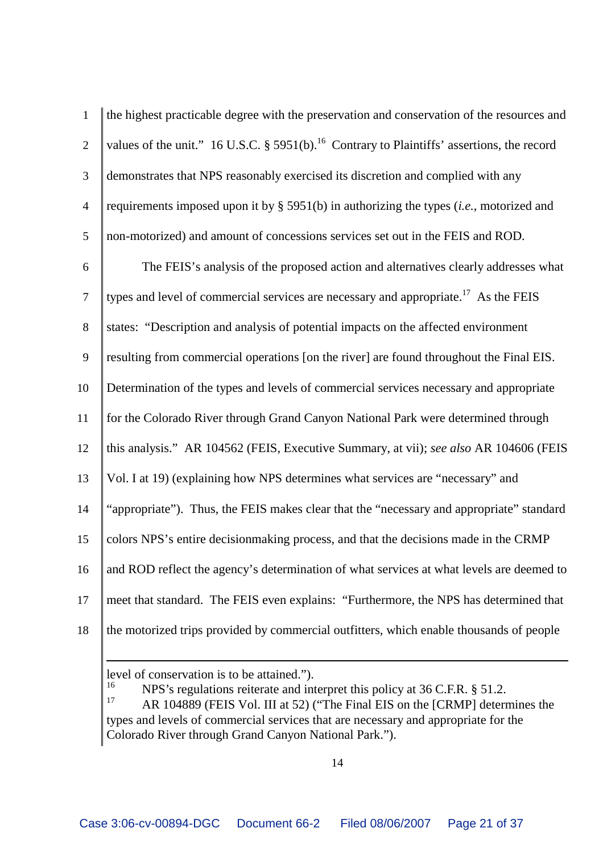| $\mathbf{1}$   | the highest practicable degree with the preservation and conservation of the resources and             |
|----------------|--------------------------------------------------------------------------------------------------------|
| $\overline{2}$ | values of the unit." 16 U.S.C. § 5951(b). <sup>16</sup> Contrary to Plaintiffs' assertions, the record |
| 3              | demonstrates that NPS reasonably exercised its discretion and complied with any                        |
| $\overline{4}$ | requirements imposed upon it by $\S$ 5951(b) in authorizing the types ( <i>i.e.</i> , motorized and    |
| 5              | non-motorized) and amount of concessions services set out in the FEIS and ROD.                         |
| 6              | The FEIS's analysis of the proposed action and alternatives clearly addresses what                     |
| $\tau$         | types and level of commercial services are necessary and appropriate. <sup>17</sup> As the FEIS        |
| 8              | states: "Description and analysis of potential impacts on the affected environment                     |
| 9              | resulting from commercial operations [on the river] are found throughout the Final EIS.                |
| 10             | Determination of the types and levels of commercial services necessary and appropriate                 |
| 11             | for the Colorado River through Grand Canyon National Park were determined through                      |
| 12             | this analysis." AR 104562 (FEIS, Executive Summary, at vii); see also AR 104606 (FEIS                  |
| 13             | Vol. I at 19) (explaining how NPS determines what services are "necessary" and                         |
| 14             | "appropriate"). Thus, the FEIS makes clear that the "necessary and appropriate" standard               |
| 15             | colors NPS's entire decision making process, and that the decisions made in the CRMP                   |
| 16             | and ROD reflect the agency's determination of what services at what levels are deemed to               |
| 17             | meet that standard. The FEIS even explains: "Furthermore, the NPS has determined that                  |
| 18             | the motorized trips provided by commercial outfitters, which enable thousands of people                |
|                |                                                                                                        |

level of conservation is to be attained.").<br> $\frac{16}{16}$  NDS's requisions rejected and int

<sup>16</sup> NPS's regulations reiterate and interpret this policy at 36 C.F.R. § 51.2.<br><sup>17</sup> A P 104880 (EFIS Vel. III et 52) ("The Final FIS on the [CPMP] determination

AR 104889 (FEIS Vol. III at 52) ("The Final EIS on the [CRMP] determines the types and levels of commercial services that are necessary and appropriate for the Colorado River through Grand Canyon National Park.").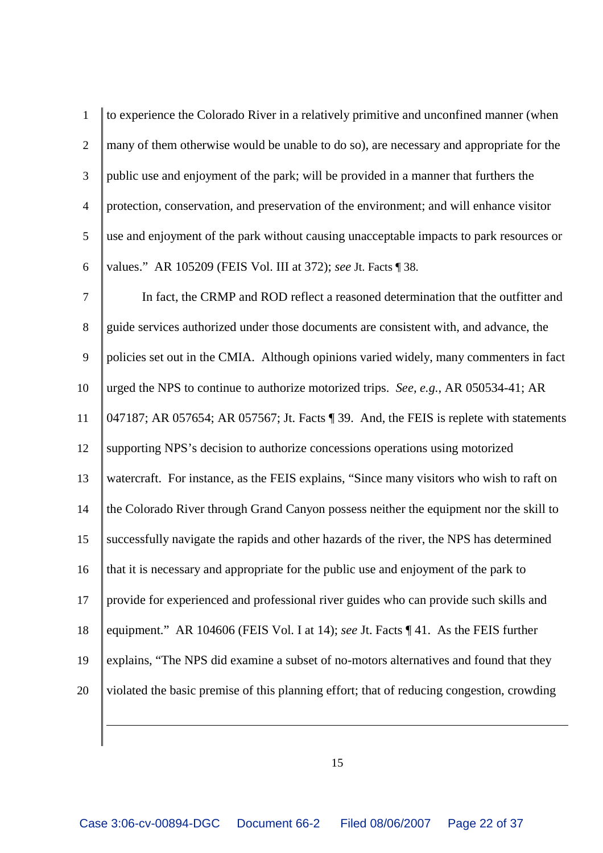| $\mathbf{1}$   | to experience the Colorado River in a relatively primitive and unconfined manner (when    |
|----------------|-------------------------------------------------------------------------------------------|
| $\overline{2}$ | many of them otherwise would be unable to do so), are necessary and appropriate for the   |
| $\mathfrak{Z}$ | public use and enjoyment of the park; will be provided in a manner that furthers the      |
| $\overline{4}$ | protection, conservation, and preservation of the environment; and will enhance visitor   |
| 5              | use and enjoyment of the park without causing unacceptable impacts to park resources or   |
| $6\,$          | values." AR 105209 (FEIS Vol. III at 372); see Jt. Facts ¶ 38.                            |
| $\tau$         | In fact, the CRMP and ROD reflect a reasoned determination that the outfitter and         |
| $8\,$          | guide services authorized under those documents are consistent with, and advance, the     |
| 9              | policies set out in the CMIA. Although opinions varied widely, many commenters in fact    |
| 10             | urged the NPS to continue to authorize motorized trips. See, e.g., AR 050534-41; AR       |
| 11             | 047187; AR 057654; AR 057567; Jt. Facts ¶ 39. And, the FEIS is replete with statements    |
| 12             | supporting NPS's decision to authorize concessions operations using motorized             |
| 13             | watercraft. For instance, as the FEIS explains, "Since many visitors who wish to raft on  |
| 14             | the Colorado River through Grand Canyon possess neither the equipment nor the skill to    |
| 15             | successfully navigate the rapids and other hazards of the river, the NPS has determined   |
| 16             | that it is necessary and appropriate for the public use and enjoyment of the park to      |
| 17             | provide for experienced and professional river guides who can provide such skills and     |
| 18             | equipment." AR 104606 (FEIS Vol. I at 14); see Jt. Facts ¶ 41. As the FEIS further        |
| 19             | explains, "The NPS did examine a subset of no-motors alternatives and found that they     |
| 20             | violated the basic premise of this planning effort; that of reducing congestion, crowding |
|                |                                                                                           |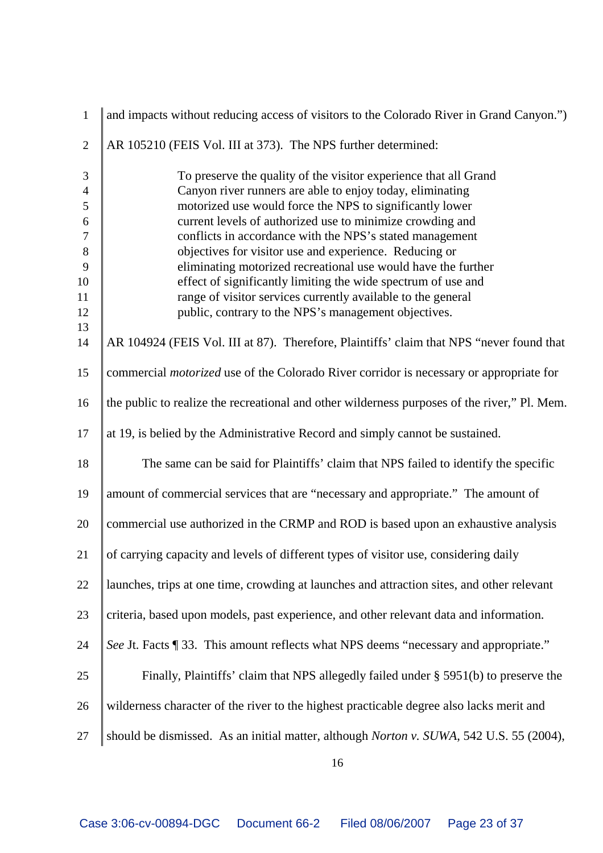| $\mathbf{1}$   | and impacts without reducing access of visitors to the Colorado River in Grand Canyon.")       |
|----------------|------------------------------------------------------------------------------------------------|
| $\overline{2}$ | AR 105210 (FEIS Vol. III at 373). The NPS further determined:                                  |
| 3              | To preserve the quality of the visitor experience that all Grand                               |
| $\overline{4}$ | Canyon river runners are able to enjoy today, eliminating                                      |
| 5              | motorized use would force the NPS to significantly lower                                       |
| $6\,$          | current levels of authorized use to minimize crowding and                                      |
| $\tau$         | conflicts in accordance with the NPS's stated management                                       |
| $8\,$          | objectives for visitor use and experience. Reducing or                                         |
| 9              | eliminating motorized recreational use would have the further                                  |
| 10             | effect of significantly limiting the wide spectrum of use and                                  |
| 11             | range of visitor services currently available to the general                                   |
| 12             | public, contrary to the NPS's management objectives.                                           |
| 13             |                                                                                                |
| 14             | AR 104924 (FEIS Vol. III at 87). Therefore, Plaintiffs' claim that NPS "never found that       |
| 15             | commercial <i>motorized</i> use of the Colorado River corridor is necessary or appropriate for |
| 16             | the public to realize the recreational and other wilderness purposes of the river," Pl. Mem.   |
| 17             | at 19, is belied by the Administrative Record and simply cannot be sustained.                  |
| 18             | The same can be said for Plaintiffs' claim that NPS failed to identify the specific            |
| 19             | amount of commercial services that are "necessary and appropriate." The amount of              |
| 20             | commercial use authorized in the CRMP and ROD is based upon an exhaustive analysis             |
| 21             | of carrying capacity and levels of different types of visitor use, considering daily           |
| 22             | launches, trips at one time, crowding at launches and attraction sites, and other relevant     |
| 23             | criteria, based upon models, past experience, and other relevant data and information.         |
| 24             | See Jt. Facts [ 33. This amount reflects what NPS deems "necessary and appropriate."           |
| 25             | Finally, Plaintiffs' claim that NPS allegedly failed under § 5951(b) to preserve the           |
| 26             | wilderness character of the river to the highest practicable degree also lacks merit and       |
| 27             | should be dismissed. As an initial matter, although Norton v. SUWA, 542 U.S. 55 (2004),        |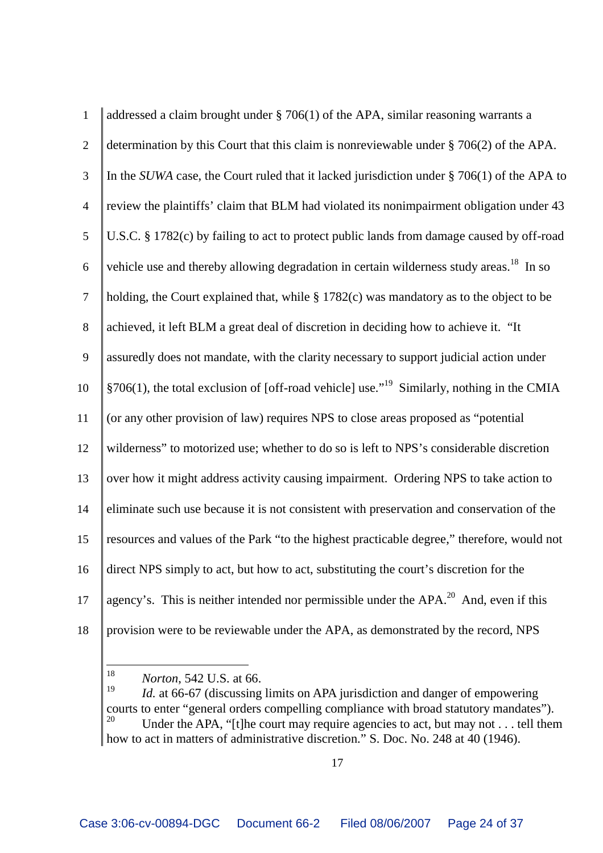| $\mathbf{1}$   | addressed a claim brought under $\S$ 706(1) of the APA, similar reasoning warrants a                      |
|----------------|-----------------------------------------------------------------------------------------------------------|
| $\overline{2}$ | determination by this Court that this claim is nonreviewable under $\S 706(2)$ of the APA.                |
| 3              | In the SUWA case, the Court ruled that it lacked jurisdiction under $\S 706(1)$ of the APA to             |
| $\overline{4}$ | review the plaintiffs' claim that BLM had violated its nonimpairment obligation under 43                  |
| $\mathfrak{S}$ | U.S.C. § 1782(c) by failing to act to protect public lands from damage caused by off-road                 |
| 6              | vehicle use and thereby allowing degradation in certain wilderness study areas. <sup>18</sup> In so       |
| $\overline{7}$ | holding, the Court explained that, while $\S 1782(c)$ was mandatory as to the object to be                |
| $8\,$          | achieved, it left BLM a great deal of discretion in deciding how to achieve it. "It                       |
| 9              | assuredly does not mandate, with the clarity necessary to support judicial action under                   |
| 10             | $\S706(1)$ , the total exclusion of [off-road vehicle] use." <sup>19</sup> Similarly, nothing in the CMIA |
| 11             | (or any other provision of law) requires NPS to close areas proposed as "potential                        |
| 12             | wilderness" to motorized use; whether to do so is left to NPS's considerable discretion                   |
| 13             | over how it might address activity causing impairment. Ordering NPS to take action to                     |
| 14             | eliminate such use because it is not consistent with preservation and conservation of the                 |
| 15             | resources and values of the Park "to the highest practicable degree," therefore, would not                |
| 16             | direct NPS simply to act, but how to act, substituting the court's discretion for the                     |
| 17             | agency's. This is neither intended nor permissible under the APA. <sup>20</sup> And, even if this         |
| 18             | provision were to be reviewable under the APA, as demonstrated by the record, NPS                         |

<sup>&</sup>lt;sup>18</sup> *Norton*, 542 U.S. at 66.<br><sup>19</sup> *Id.* at 66.67 (discussing

*Id.* at 66-67 (discussing limits on APA jurisdiction and danger of empowering courts to enter "general orders compelling compliance with broad statutory mandates").<br><sup>20</sup> LInder the APA "f the court may require agencies to act, but may not tell then Under the APA, "[t]he court may require agencies to act, but may not . . . tell them how to act in matters of administrative discretion." S. Doc. No. 248 at 40 (1946).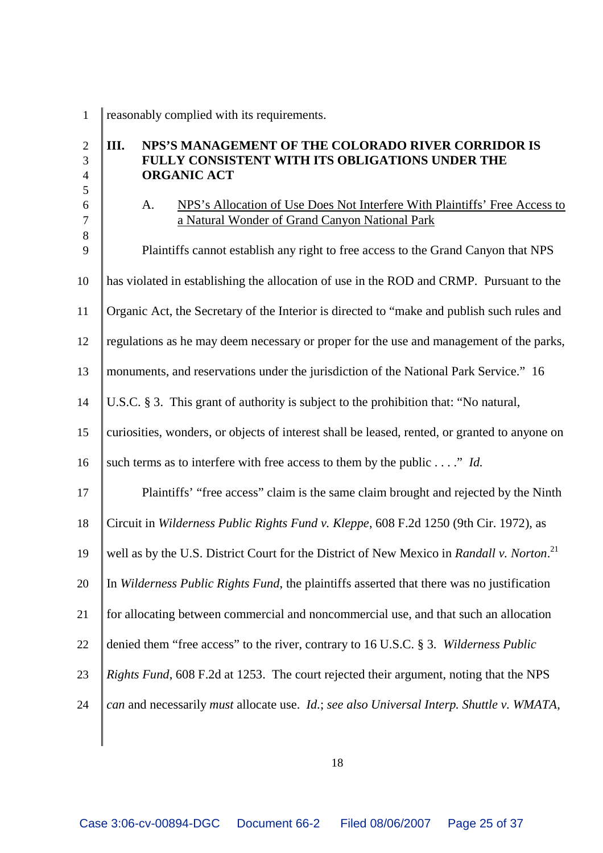reasonably complied with its requirements.

### **III. NPS'S MANAGEMENT OF THE COLORADO RIVER CORRIDOR IS FULLY CONSISTENT WITH ITS OBLIGATIONS UNDER THE ORGANIC ACT**

 A. NPS's Allocation of Use Does Not Interfere With Plaintiffs' Free Access to a Natural Wonder of Grand Canyon National Park

 9 Plaintiffs cannot establish any right to free access to the Grand Canyon that NPS has violated in establishing the allocation of use in the ROD and CRMP. Pursuant to the Organic Act, the Secretary of the Interior is directed to "make and publish such rules and regulations as he may deem necessary or proper for the use and management of the parks, monuments, and reservations under the jurisdiction of the National Park Service." 16 U.S.C. § 3. This grant of authority is subject to the prohibition that: "No natural, 15 curiosities, wonders, or objects of interest shall be leased, rented, or granted to anyone on 16 such terms as to interfere with free access to them by the public . . . ." *Id.* **Plaintiffs'** "free access" claim is the same claim brought and rejected by the Ninth Circuit in *Wilderness Public Rights Fund v. Kleppe*, 608 F.2d 1250 (9th Cir. 1972), as well as by the U.S. District Court for the District of New Mexico in *Randall v. Norton*. <sup>21</sup> In *Wilderness Public Rights Fund*, the plaintiffs asserted that there was no justification for allocating between commercial and noncommercial use, and that such an allocation denied them "free access" to the river, contrary to 16 U.S.C. § 3. *Wilderness Public Rights Fund*, 608 F.2d at 1253. The court rejected their argument, noting that the NPS *can* and necessarily *must* allocate use. *Id.*; *see also Universal Interp. Shuttle v. WMATA*,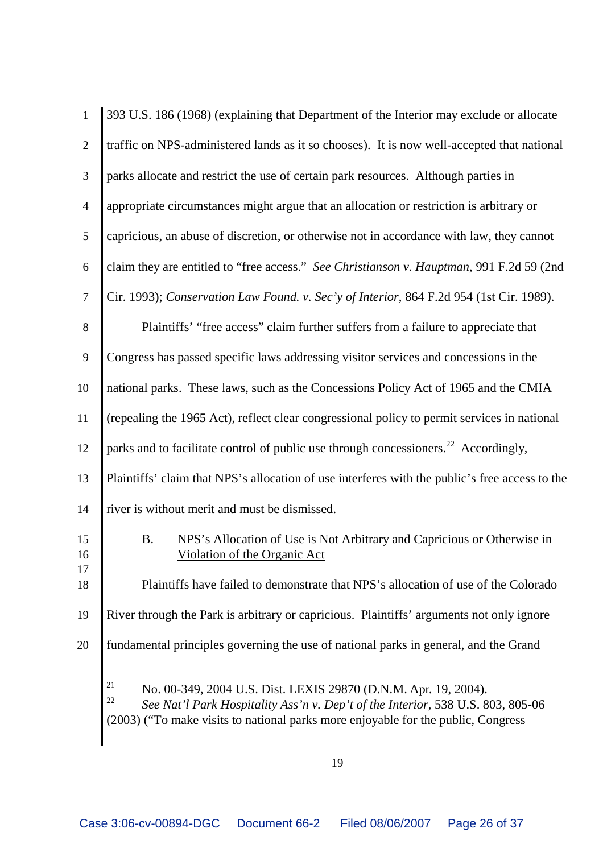| $\mathbf{1}$   | 393 U.S. 186 (1968) (explaining that Department of the Interior may exclude or allocate                                                                                                                                                             |
|----------------|-----------------------------------------------------------------------------------------------------------------------------------------------------------------------------------------------------------------------------------------------------|
| 2              | traffic on NPS-administered lands as it so chooses). It is now well-accepted that national                                                                                                                                                          |
| 3              | parks allocate and restrict the use of certain park resources. Although parties in                                                                                                                                                                  |
| $\overline{4}$ | appropriate circumstances might argue that an allocation or restriction is arbitrary or                                                                                                                                                             |
| 5              | capricious, an abuse of discretion, or otherwise not in accordance with law, they cannot                                                                                                                                                            |
| 6              | claim they are entitled to "free access." See Christianson v. Hauptman, 991 F.2d 59 (2nd                                                                                                                                                            |
| $\tau$         | Cir. 1993); Conservation Law Found. v. Sec'y of Interior, 864 F.2d 954 (1st Cir. 1989).                                                                                                                                                             |
| 8              | Plaintiffs' "free access" claim further suffers from a failure to appreciate that                                                                                                                                                                   |
| 9              | Congress has passed specific laws addressing visitor services and concessions in the                                                                                                                                                                |
| 10             | national parks. These laws, such as the Concessions Policy Act of 1965 and the CMIA                                                                                                                                                                 |
| 11             | (repealing the 1965 Act), reflect clear congressional policy to permit services in national                                                                                                                                                         |
| 12             | parks and to facilitate control of public use through concessioners. <sup>22</sup> Accordingly,                                                                                                                                                     |
| 13             | Plaintiffs' claim that NPS's allocation of use interferes with the public's free access to the                                                                                                                                                      |
| 14             | river is without merit and must be dismissed.                                                                                                                                                                                                       |
| 15<br>16       | <b>B.</b><br>NPS's Allocation of Use is Not Arbitrary and Capricious or Otherwise in<br><u>Violation of the Organic Act</u>                                                                                                                         |
| 17<br>18       | Plaintiffs have failed to demonstrate that NPS's allocation of use of the Colorado                                                                                                                                                                  |
| 19             | River through the Park is arbitrary or capricious. Plaintiffs' arguments not only ignore                                                                                                                                                            |
| 20             | fundamental principles governing the use of national parks in general, and the Grand                                                                                                                                                                |
|                | 21<br>No. 00-349, 2004 U.S. Dist. LEXIS 29870 (D.N.M. Apr. 19, 2004).<br>22<br>See Nat'l Park Hospitality Ass'n v. Dep't of the Interior, 538 U.S. 803, 805-06<br>(2003) ("To make visits to national parks more enjoyable for the public, Congress |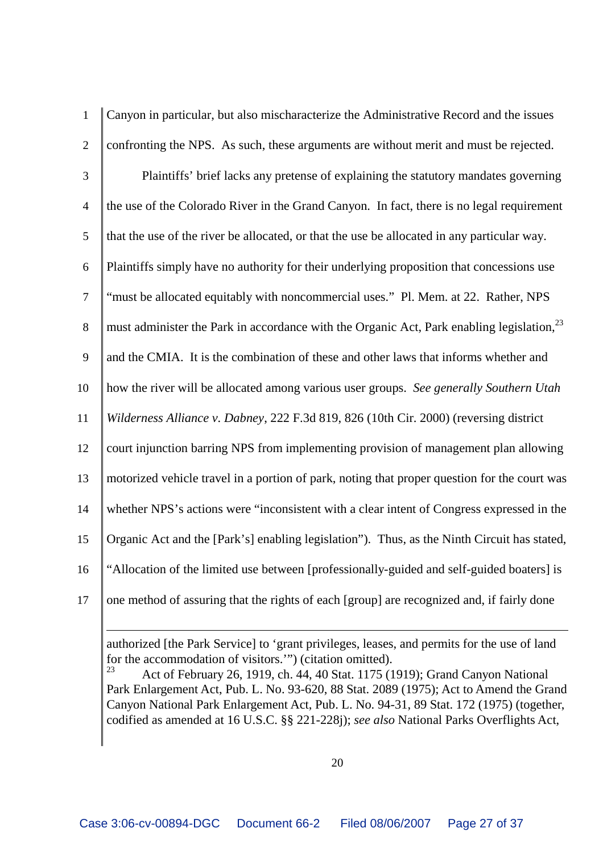| Canyon in particular, but also mischaracterize the Administrative Record and the issues               |
|-------------------------------------------------------------------------------------------------------|
| confronting the NPS. As such, these arguments are without merit and must be rejected.                 |
| Plaintiffs' brief lacks any pretense of explaining the statutory mandates governing                   |
| the use of the Colorado River in the Grand Canyon. In fact, there is no legal requirement             |
| that the use of the river be allocated, or that the use be allocated in any particular way.           |
| Plaintiffs simply have no authority for their underlying proposition that concessions use             |
| "must be allocated equitably with noncommercial uses." Pl. Mem. at 22. Rather, NPS                    |
| must administer the Park in accordance with the Organic Act, Park enabling legislation, <sup>23</sup> |
| and the CMIA. It is the combination of these and other laws that informs whether and                  |
| how the river will be allocated among various user groups. See generally Southern Utah                |
| Wilderness Alliance v. Dabney, 222 F.3d 819, 826 (10th Cir. 2000) (reversing district                 |
| court injunction barring NPS from implementing provision of management plan allowing                  |
| motorized vehicle travel in a portion of park, noting that proper question for the court was          |
| whether NPS's actions were "inconsistent with a clear intent of Congress expressed in the             |
| Organic Act and the [Park's] enabling legislation"). Thus, as the Ninth Circuit has stated,           |
| "Allocation of the limited use between [professionally-guided and self-guided boaters] is             |
| one method of assuring that the rights of each [group] are recognized and, if fairly done             |
|                                                                                                       |

authorized [the Park Service] to 'grant privileges, leases, and permits for the use of land for the accommodation of visitors.'") (citation omitted).<br> $^{23}$  Act of February 26, 1919, ch 44, 40 Stat, 1175 (1)

 Act of February 26, 1919, ch. 44, 40 Stat. 1175 (1919); Grand Canyon National Park Enlargement Act, Pub. L. No. 93-620, 88 Stat. 2089 (1975); Act to Amend the Grand Canyon National Park Enlargement Act, Pub. L. No. 94-31, 89 Stat. 172 (1975) (together, codified as amended at 16 U.S.C. §§ 221-228j); *see also* National Parks Overflights Act,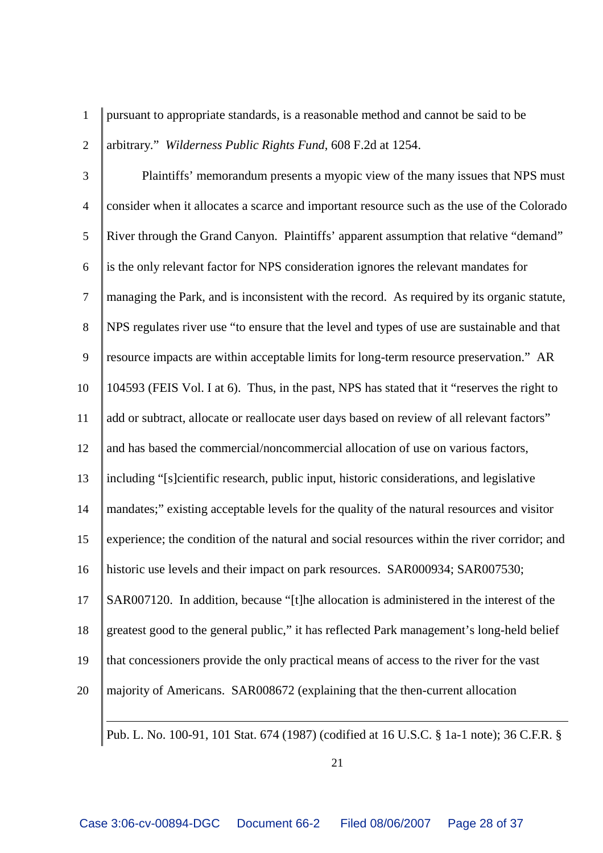pursuant to appropriate standards, is a reasonable method and cannot be said to be

arbitrary." *Wilderness Public Rights Fund*, 608 F.2d at 1254.

 Plaintiffs' memorandum presents a myopic view of the many issues that NPS must consider when it allocates a scarce and important resource such as the use of the Colorado River through the Grand Canyon. Plaintiffs' apparent assumption that relative "demand" is the only relevant factor for NPS consideration ignores the relevant mandates for managing the Park, and is inconsistent with the record. As required by its organic statute, NPS regulates river use "to ensure that the level and types of use are sustainable and that resource impacts are within acceptable limits for long-term resource preservation." AR 104593 (FEIS Vol. I at 6). Thus, in the past, NPS has stated that it "reserves the right to add or subtract, allocate or reallocate user days based on review of all relevant factors" 12 and has based the commercial/noncommercial allocation of use on various factors, including "[s]cientific research, public input, historic considerations, and legislative 14 mandates;" existing acceptable levels for the quality of the natural resources and visitor experience; the condition of the natural and social resources within the river corridor; and historic use levels and their impact on park resources. SAR000934; SAR007530; SAR007120. In addition, because "[t]he allocation is administered in the interest of the greatest good to the general public," it has reflected Park management's long-held belief that concessioners provide the only practical means of access to the river for the vast majority of Americans. SAR008672 (explaining that the then-current allocation

Pub. L. No. 100-91, 101 Stat. 674 (1987) (codified at 16 U.S.C. § 1a-1 note); 36 C.F.R. §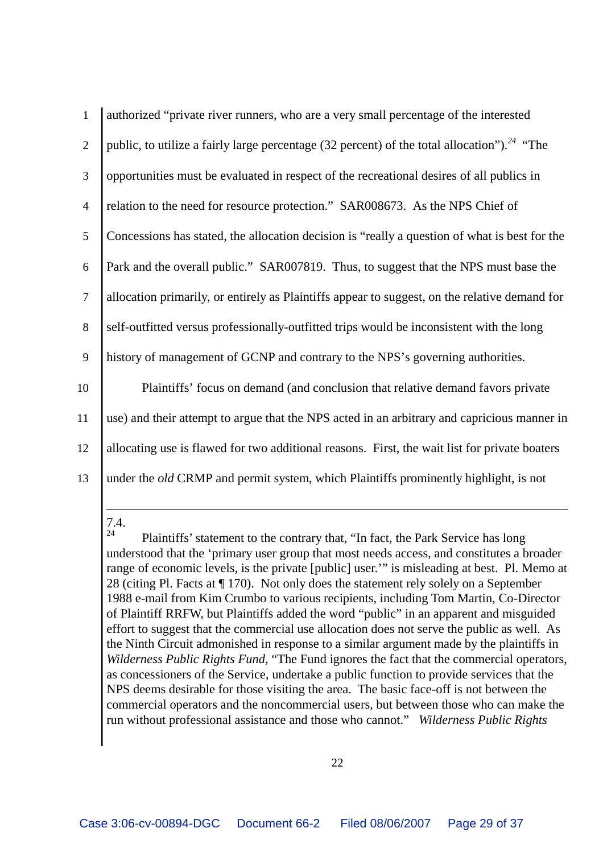| $\mathbf{1}$    | authorized "private river runners, who are a very small percentage of the interested                    |
|-----------------|---------------------------------------------------------------------------------------------------------|
| $\overline{2}$  | public, to utilize a fairly large percentage (32 percent) of the total allocation"). <sup>24</sup> "The |
| 3               | opportunities must be evaluated in respect of the recreational desires of all publics in                |
| $\overline{4}$  | relation to the need for resource protection." SAR008673. As the NPS Chief of                           |
| 5               | Concessions has stated, the allocation decision is "really a question of what is best for the           |
| 6               | Park and the overall public." SAR007819. Thus, to suggest that the NPS must base the                    |
| $7\phantom{.0}$ | allocation primarily, or entirely as Plaintiffs appear to suggest, on the relative demand for           |
| 8               | self-outfitted versus professionally-outfitted trips would be inconsistent with the long                |
| 9               | history of management of GCNP and contrary to the NPS's governing authorities.                          |
| 10              | Plaintiffs' focus on demand (and conclusion that relative demand favors private                         |
| 11              | use) and their attempt to argue that the NPS acted in an arbitrary and capricious manner in             |
| 12              | allocating use is flawed for two additional reasons. First, the wait list for private boaters           |
| 13              | under the <i>old</i> CRMP and permit system, which Plaintiffs prominently highlight, is not             |
|                 |                                                                                                         |

 $7.4.$ 

Plaintiffs' statement to the contrary that, "In fact, the Park Service has long understood that the 'primary user group that most needs access, and constitutes a broader range of economic levels, is the private [public] user.'" is misleading at best. Pl. Memo at 28 (citing Pl. Facts at ¶ 170). Not only does the statement rely solely on a September 1988 e-mail from Kim Crumbo to various recipients, including Tom Martin, Co-Director of Plaintiff RRFW, but Plaintiffs added the word "public" in an apparent and misguided effort to suggest that the commercial use allocation does not serve the public as well. As the Ninth Circuit admonished in response to a similar argument made by the plaintiffs in *Wilderness Public Rights Fund*, "The Fund ignores the fact that the commercial operators, as concessioners of the Service, undertake a public function to provide services that the NPS deems desirable for those visiting the area. The basic face-off is not between the commercial operators and the noncommercial users, but between those who can make the run without professional assistance and those who cannot." *Wilderness Public Rights*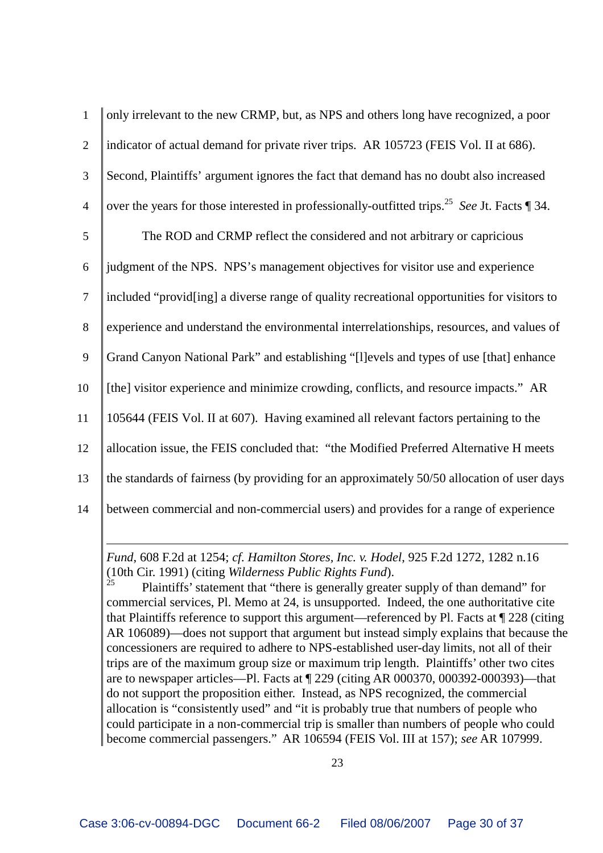| $\mathbf{1}$   | only irrelevant to the new CRMP, but, as NPS and others long have recognized, a poor                        |
|----------------|-------------------------------------------------------------------------------------------------------------|
| $\overline{2}$ | indicator of actual demand for private river trips. AR 105723 (FEIS Vol. II at 686).                        |
| $\mathfrak{Z}$ | Second, Plaintiffs' argument ignores the fact that demand has no doubt also increased                       |
| $\overline{4}$ | over the years for those interested in professionally-outfitted trips. <sup>25</sup> See Jt. Facts $\P$ 34. |
| 5              | The ROD and CRMP reflect the considered and not arbitrary or capricious                                     |
| 6              | judgment of the NPS. NPS's management objectives for visitor use and experience                             |
| $\overline{7}$ | included "provid[ing] a diverse range of quality recreational opportunities for visitors to                 |
| 8              | experience and understand the environmental interrelationships, resources, and values of                    |
| 9              | Grand Canyon National Park" and establishing "[I] evels and types of use [that] enhance                     |
| 10             | [the] visitor experience and minimize crowding, conflicts, and resource impacts." AR                        |
| 11             | 105644 (FEIS Vol. II at 607). Having examined all relevant factors pertaining to the                        |
| 12             | allocation issue, the FEIS concluded that: "the Modified Preferred Alternative H meets                      |
| 13             | the standards of fairness (by providing for an approximately 50/50 allocation of user days                  |
| 14             | between commercial and non-commercial users) and provides for a range of experience                         |

*Fund*, 608 F.2d at 1254; *cf. Hamilton Stores, Inc. v. Hodel*, 925 F.2d 1272, 1282 n.16 (10th Cir. 1991) (citing *Wilderness Public Rights Fund*).

Plaintiffs' statement that "there is generally greater supply of than demand" for commercial services, Pl. Memo at 24, is unsupported. Indeed, the one authoritative cite that Plaintiffs reference to support this argument—referenced by Pl. Facts at ¶ 228 (citing AR 106089)—does not support that argument but instead simply explains that because the concessioners are required to adhere to NPS-established user-day limits, not all of their trips are of the maximum group size or maximum trip length. Plaintiffs' other two cites are to newspaper articles—Pl. Facts at ¶ 229 (citing AR 000370, 000392-000393)—that do not support the proposition either. Instead, as NPS recognized, the commercial allocation is "consistently used" and "it is probably true that numbers of people who could participate in a non-commercial trip is smaller than numbers of people who could become commercial passengers." AR 106594 (FEIS Vol. III at 157); *see* AR 107999.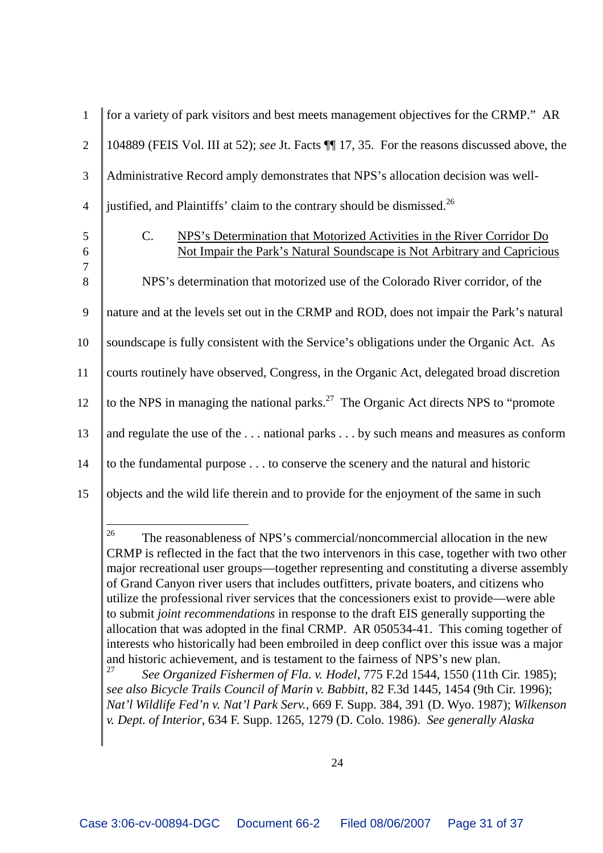| $\overline{2}$<br>3<br>justified, and Plaintiffs' claim to the contrary should be dismissed. <sup>26</sup><br>$\overline{4}$<br>$C_{\cdot}$<br>$\mathfrak{S}$<br>$\boldsymbol{6}$<br>$\boldsymbol{7}$<br>$8\,$<br>9<br>10<br>11<br>12<br>13<br>14<br>15 | $\mathbf{1}$ | for a variety of park visitors and best meets management objectives for the CRMP." AR                                                              |
|---------------------------------------------------------------------------------------------------------------------------------------------------------------------------------------------------------------------------------------------------------|--------------|----------------------------------------------------------------------------------------------------------------------------------------------------|
|                                                                                                                                                                                                                                                         |              | 104889 (FEIS Vol. III at 52); see Jt. Facts $\P$ 17, 35. For the reasons discussed above, the                                                      |
|                                                                                                                                                                                                                                                         |              | Administrative Record amply demonstrates that NPS's allocation decision was well-                                                                  |
|                                                                                                                                                                                                                                                         |              |                                                                                                                                                    |
|                                                                                                                                                                                                                                                         |              | NPS's Determination that Motorized Activities in the River Corridor Do<br>Not Impair the Park's Natural Soundscape is Not Arbitrary and Capricious |
|                                                                                                                                                                                                                                                         |              | NPS's determination that motorized use of the Colorado River corridor, of the                                                                      |
|                                                                                                                                                                                                                                                         |              | nature and at the levels set out in the CRMP and ROD, does not impair the Park's natural                                                           |
|                                                                                                                                                                                                                                                         |              | soundscape is fully consistent with the Service's obligations under the Organic Act. As                                                            |
|                                                                                                                                                                                                                                                         |              | courts routinely have observed, Congress, in the Organic Act, delegated broad discretion                                                           |
|                                                                                                                                                                                                                                                         |              | to the NPS in managing the national parks. <sup>27</sup> The Organic Act directs NPS to "promote"                                                  |
|                                                                                                                                                                                                                                                         |              | and regulate the use of the national parks by such means and measures as conform                                                                   |
|                                                                                                                                                                                                                                                         |              | to the fundamental purpose to conserve the scenery and the natural and historic                                                                    |
|                                                                                                                                                                                                                                                         |              | objects and the wild life therein and to provide for the enjoyment of the same in such                                                             |

<sup>26</sup> The reasonableness of NPS's commercial/noncommercial allocation in the new CRMP is reflected in the fact that the two intervenors in this case, together with two other major recreational user groups—together representing and constituting a diverse assembly of Grand Canyon river users that includes outfitters, private boaters, and citizens who utilize the professional river services that the concessioners exist to provide—were able to submit *joint recommendations* in response to the draft EIS generally supporting the allocation that was adopted in the final CRMP. AR 050534-41. This coming together of interests who historically had been embroiled in deep conflict over this issue was a major and historic achievement, and is testament to the fairness of NPS's new plan.<br> $27 \text{ Gea}$  Organized Eisharman of Elg.  $v$  Hodel 775 E2d 1544, 1550 (11th

<sup>27</sup> *See Organized Fishermen of Fla. v. Hodel*, 775 F.2d 1544, 1550 (11th Cir. 1985); *see also Bicycle Trails Council of Marin v. Babbitt*, 82 F.3d 1445, 1454 (9th Cir. 1996); *Nat'l Wildlife Fed'n v. Nat'l Park Serv.*, 669 F. Supp. 384, 391 (D. Wyo. 1987); *Wilkenson v. Dept. of Interior*, 634 F. Supp. 1265, 1279 (D. Colo. 1986). *See generally Alaska*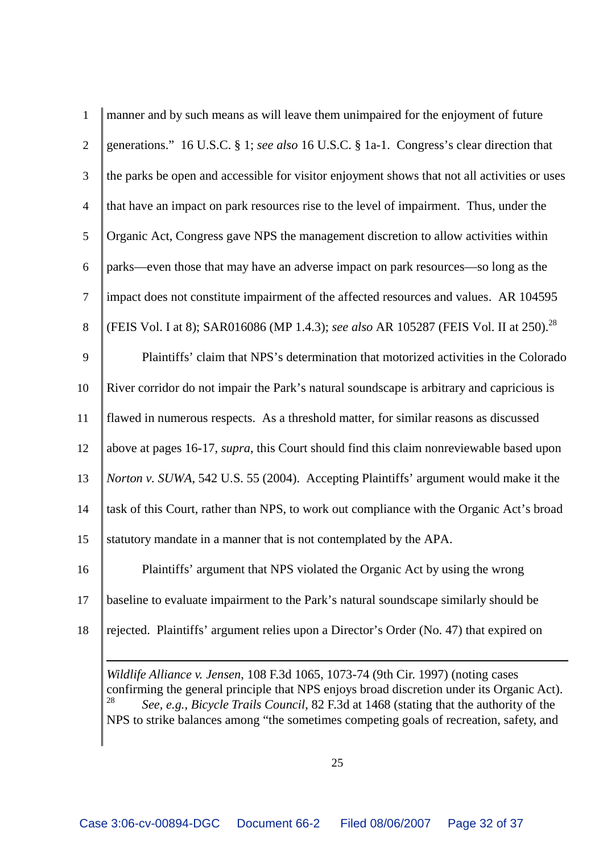| $\mathbf{1}$   | manner and by such means as will leave them unimpaired for the enjoyment of future                                                                                                                                                                                                                                                                                      |
|----------------|-------------------------------------------------------------------------------------------------------------------------------------------------------------------------------------------------------------------------------------------------------------------------------------------------------------------------------------------------------------------------|
| $\overline{2}$ | generations." 16 U.S.C. § 1; see also 16 U.S.C. § 1a-1. Congress's clear direction that                                                                                                                                                                                                                                                                                 |
| 3              | the parks be open and accessible for visitor enjoyment shows that not all activities or uses                                                                                                                                                                                                                                                                            |
| $\overline{4}$ | that have an impact on park resources rise to the level of impairment. Thus, under the                                                                                                                                                                                                                                                                                  |
| 5              | Organic Act, Congress gave NPS the management discretion to allow activities within                                                                                                                                                                                                                                                                                     |
| 6              | parks—even those that may have an adverse impact on park resources—so long as the                                                                                                                                                                                                                                                                                       |
| $\overline{7}$ | impact does not constitute impairment of the affected resources and values. AR 104595                                                                                                                                                                                                                                                                                   |
| 8              | (FEIS Vol. I at 8); SAR016086 (MP 1.4.3); see also AR 105287 (FEIS Vol. II at 250). <sup>28</sup>                                                                                                                                                                                                                                                                       |
| 9              | Plaintiffs' claim that NPS's determination that motorized activities in the Colorado                                                                                                                                                                                                                                                                                    |
| 10             | River corridor do not impair the Park's natural soundscape is arbitrary and capricious is                                                                                                                                                                                                                                                                               |
| 11             | flawed in numerous respects. As a threshold matter, for similar reasons as discussed                                                                                                                                                                                                                                                                                    |
| 12             | above at pages 16-17, <i>supra</i> , this Court should find this claim nonreviewable based upon                                                                                                                                                                                                                                                                         |
| 13             | <i>Norton v. SUWA</i> , 542 U.S. 55 (2004). Accepting Plaintiffs' argument would make it the                                                                                                                                                                                                                                                                            |
| 14             | task of this Court, rather than NPS, to work out compliance with the Organic Act's broad                                                                                                                                                                                                                                                                                |
| 15             | statutory mandate in a manner that is not contemplated by the APA.                                                                                                                                                                                                                                                                                                      |
| 16             | Plaintiffs' argument that NPS violated the Organic Act by using the wrong                                                                                                                                                                                                                                                                                               |
| 17             | baseline to evaluate impairment to the Park's natural soundscape similarly should be                                                                                                                                                                                                                                                                                    |
| 18             | rejected. Plaintiffs' argument relies upon a Director's Order (No. 47) that expired on                                                                                                                                                                                                                                                                                  |
|                | Wildlife Alliance v. Jensen, 108 F.3d 1065, 1073-74 (9th Cir. 1997) (noting cases<br>confirming the general principle that NPS enjoys broad discretion under its Organic Act).<br>28<br>See, e.g., Bicycle Trails Council, 82 F.3d at 1468 (stating that the authority of the<br>NPS to strike balances among "the sometimes competing goals of recreation, safety, and |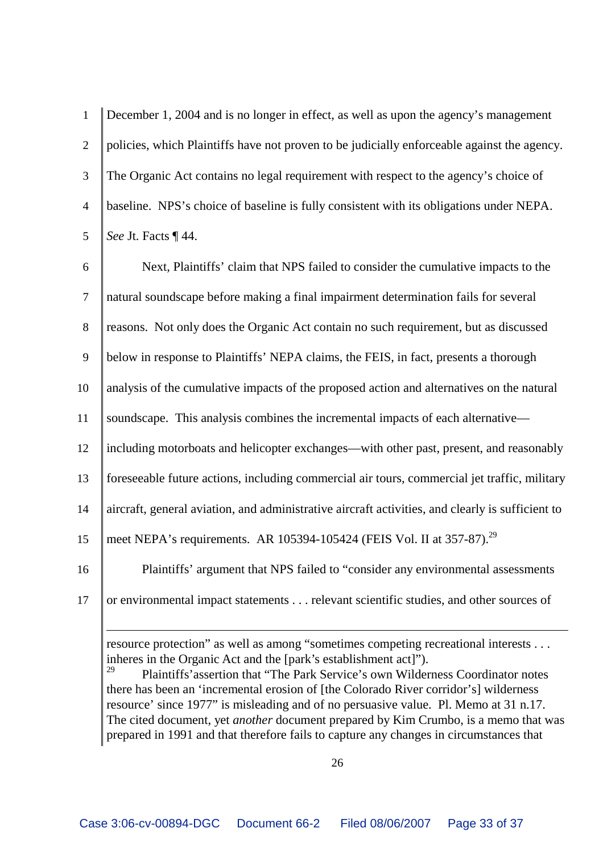| $\mathbf{1}$    | December 1, 2004 and is no longer in effect, as well as upon the agency's management        |
|-----------------|---------------------------------------------------------------------------------------------|
| 2               | policies, which Plaintiffs have not proven to be judicially enforceable against the agency. |
| 3               | The Organic Act contains no legal requirement with respect to the agency's choice of        |
| $\overline{4}$  | baseline. NPS's choice of baseline is fully consistent with its obligations under NEPA.     |
| $5\overline{)}$ | See Jt. Facts ¶ 44.                                                                         |
| 6               | Next, Plaintiffs' claim that NPS failed to consider the cumulative impacts to the           |
| $\tau$          | natural soundscape before making a final impairment determination fails for several         |
|                 |                                                                                             |

8 reasons. Not only does the Organic Act contain no such requirement, but as discussed

9 below in response to Plaintiffs' NEPA claims, the FEIS, in fact, presents a thorough

10 analysis of the cumulative impacts of the proposed action and alternatives on the natural

11 soundscape. This analysis combines the incremental impacts of each alternative—

12 including motorboats and helicopter exchanges—with other past, present, and reasonably

13 foreseeable future actions, including commercial air tours, commercial jet traffic, military

14 aircraft, general aviation, and administrative aircraft activities, and clearly is sufficient to

15 | meet NEPA's requirements. AR 105394-105424 (FEIS Vol. II at 357-87).<sup>29</sup>

16 Plaintiffs' argument that NPS failed to "consider any environmental assessments

17 or environmental impact statements . . . relevant scientific studies, and other sources of

resource protection" as well as among "sometimes competing recreational interests . . . inheres in the Organic Act and the [park's establishment act]").

<sup>29</sup> Plaintiffs'assertion that "The Park Service's own Wilderness Coordinator notes there has been an 'incremental erosion of [the Colorado River corridor's] wilderness resource' since 1977" is misleading and of no persuasive value. Pl. Memo at 31 n.17. The cited document, yet *another* document prepared by Kim Crumbo, is a memo that was prepared in 1991 and that therefore fails to capture any changes in circumstances that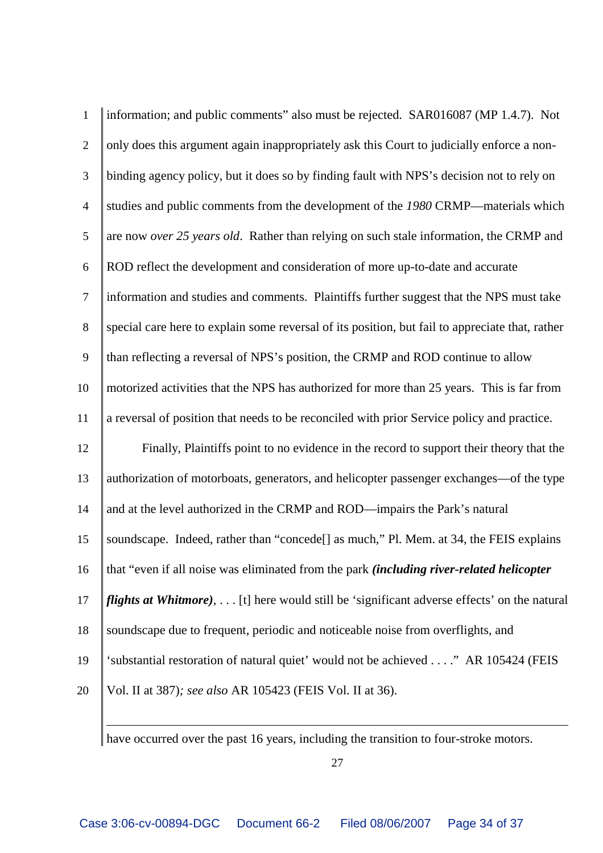| $\mathbf{1}$   | information; and public comments" also must be rejected. SAR016087 (MP 1.4.7). Not                 |
|----------------|----------------------------------------------------------------------------------------------------|
| $\overline{2}$ | only does this argument again inappropriately ask this Court to judicially enforce a non-          |
| $\mathfrak{Z}$ | binding agency policy, but it does so by finding fault with NPS's decision not to rely on          |
| $\overline{4}$ | studies and public comments from the development of the 1980 CRMP—materials which                  |
| $\mathfrak{S}$ | are now over 25 years old. Rather than relying on such stale information, the CRMP and             |
| $6\,$          | ROD reflect the development and consideration of more up-to-date and accurate                      |
| $\overline{7}$ | information and studies and comments. Plaintiffs further suggest that the NPS must take            |
| $8\,$          | special care here to explain some reversal of its position, but fail to appreciate that, rather    |
| 9              | than reflecting a reversal of NPS's position, the CRMP and ROD continue to allow                   |
| 10             | motorized activities that the NPS has authorized for more than 25 years. This is far from          |
| 11             | a reversal of position that needs to be reconciled with prior Service policy and practice.         |
| 12             | Finally, Plaintiffs point to no evidence in the record to support their theory that the            |
| 13             | authorization of motorboats, generators, and helicopter passenger exchanges—of the type            |
| 14             | and at the level authorized in the CRMP and ROD—impairs the Park's natural                         |
| 15             | soundscape. Indeed, rather than "concede <sup>[]</sup> as much," Pl. Mem. at 34, the FEIS explains |
| 16             | that "even if all noise was eliminated from the park <i>(including river-related helicopter</i>    |
| 17             | <i>flights at Whitmore</i> ), [t] here would still be 'significant adverse effects' on the natural |
| 18             | soundscape due to frequent, periodic and noticeable noise from overflights, and                    |
| 19             | 'substantial restoration of natural quiet' would not be achieved" AR 105424 (FEIS                  |
| 20             | Vol. II at 387); see also AR 105423 (FEIS Vol. II at 36).                                          |

have occurred over the past 16 years, including the transition to four-stroke motors.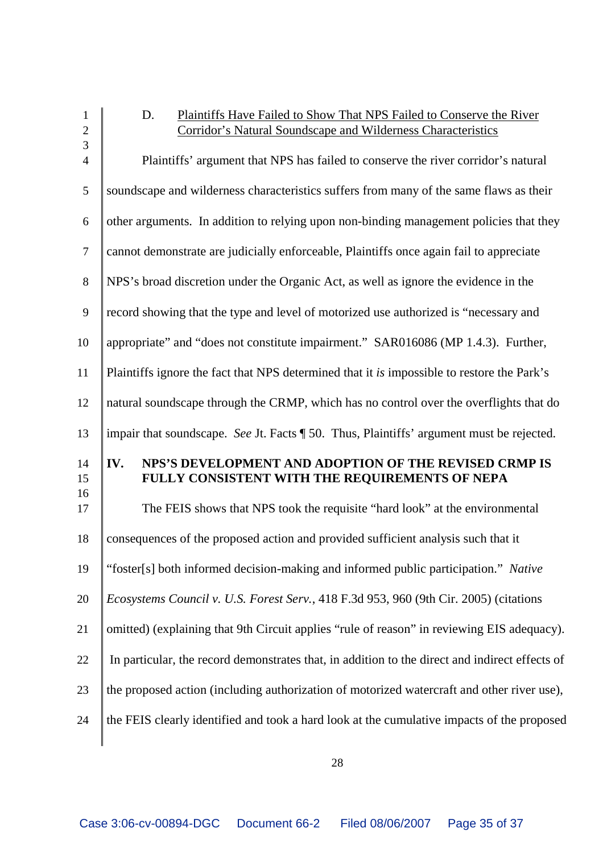| $\mathbf{1}$<br>$\overline{2}$   | Plaintiffs Have Failed to Show That NPS Failed to Conserve the River<br>D.<br>Corridor's Natural Soundscape and Wilderness Characteristics |
|----------------------------------|--------------------------------------------------------------------------------------------------------------------------------------------|
| $\overline{3}$<br>$\overline{4}$ | Plaintiffs' argument that NPS has failed to conserve the river corridor's natural                                                          |
| 5                                | soundscape and wilderness characteristics suffers from many of the same flaws as their                                                     |
| 6                                | other arguments. In addition to relying upon non-binding management policies that they                                                     |
| $\overline{7}$                   | cannot demonstrate are judicially enforceable, Plaintiffs once again fail to appreciate                                                    |
| 8                                | NPS's broad discretion under the Organic Act, as well as ignore the evidence in the                                                        |
| 9                                | record showing that the type and level of motorized use authorized is "necessary and                                                       |
| 10                               | appropriate" and "does not constitute impairment." SAR016086 (MP 1.4.3). Further,                                                          |
| 11                               | Plaintiffs ignore the fact that NPS determined that it is impossible to restore the Park's                                                 |
| 12                               | natural soundscape through the CRMP, which has no control over the overflights that do                                                     |
| 13                               | impair that soundscape. See Jt. Facts ¶ 50. Thus, Plaintiffs' argument must be rejected.                                                   |
| 14<br>15                         | NPS'S DEVELOPMENT AND ADOPTION OF THE REVISED CRMP IS<br>IV.<br>FULLY CONSISTENT WITH THE REQUIREMENTS OF NEPA                             |
| 16<br>17                         | The FEIS shows that NPS took the requisite "hard look" at the environmental                                                                |
| 18                               | consequences of the proposed action and provided sufficient analysis such that it                                                          |
| 19                               | "foster[s] both informed decision-making and informed public participation." Native                                                        |
| 20                               | Ecosystems Council v. U.S. Forest Serv., 418 F.3d 953, 960 (9th Cir. 2005) (citations                                                      |
| 21                               | omitted) (explaining that 9th Circuit applies "rule of reason" in reviewing EIS adequacy).                                                 |
| 22                               | In particular, the record demonstrates that, in addition to the direct and indirect effects of                                             |
| 23                               | the proposed action (including authorization of motorized watercraft and other river use),                                                 |
| 24                               | the FEIS clearly identified and took a hard look at the cumulative impacts of the proposed                                                 |
|                                  |                                                                                                                                            |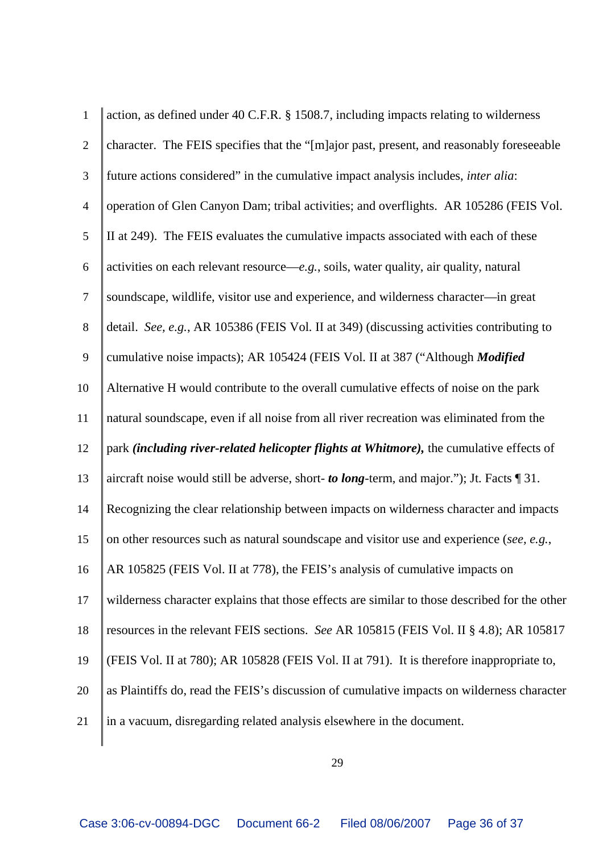| $\mathbf{1}$   | action, as defined under 40 C.F.R. § 1508.7, including impacts relating to wilderness         |
|----------------|-----------------------------------------------------------------------------------------------|
| $\overline{2}$ | character. The FEIS specifies that the "[m]ajor past, present, and reasonably foreseeable     |
| 3              | future actions considered" in the cumulative impact analysis includes, <i>inter alia</i> :    |
| $\overline{4}$ | operation of Glen Canyon Dam; tribal activities; and overflights. AR 105286 (FEIS Vol.        |
| 5              | II at 249). The FEIS evaluates the cumulative impacts associated with each of these           |
| 6              | activities on each relevant resource—e.g., soils, water quality, air quality, natural         |
| $\overline{7}$ | soundscape, wildlife, visitor use and experience, and wilderness character-in great           |
| $8\,$          | detail. See, e.g., AR 105386 (FEIS Vol. II at 349) (discussing activities contributing to     |
| 9              | cumulative noise impacts); AR 105424 (FEIS Vol. II at 387 ("Although Modified                 |
| 10             | Alternative H would contribute to the overall cumulative effects of noise on the park         |
| 11             | natural soundscape, even if all noise from all river recreation was eliminated from the       |
|                |                                                                                               |
| 12             | park (including river-related helicopter flights at Whitmore), the cumulative effects of      |
| 13             | aircraft noise would still be adverse, short- to long-term, and major."); Jt. Facts $\P$ 31.  |
| 14             | Recognizing the clear relationship between impacts on wilderness character and impacts        |
| 15             | on other resources such as natural soundscape and visitor use and experience (see, e.g.,      |
| 16             | AR 105825 (FEIS Vol. II at 778), the FEIS's analysis of cumulative impacts on                 |
| 17             | wilderness character explains that those effects are similar to those described for the other |
| 18             | resources in the relevant FEIS sections. See AR 105815 (FEIS Vol. II § 4.8); AR 105817        |
| 19             | (FEIS Vol. II at 780); AR 105828 (FEIS Vol. II at 791). It is therefore inappropriate to,     |
| 20             | as Plaintiffs do, read the FEIS's discussion of cumulative impacts on wilderness character    |
| 21             | in a vacuum, disregarding related analysis elsewhere in the document.                         |